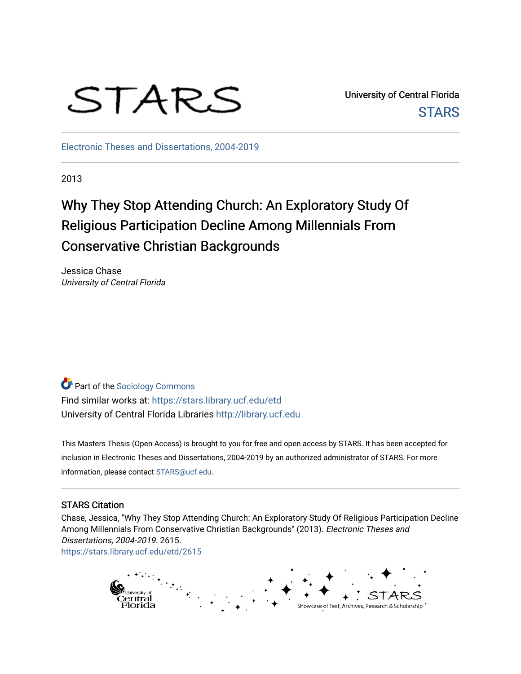# STARS

University of Central Florida **STARS** 

[Electronic Theses and Dissertations, 2004-2019](https://stars.library.ucf.edu/etd) 

2013

## Why They Stop Attending Church: An Exploratory Study Of Religious Participation Decline Among Millennials From Conservative Christian Backgrounds

Jessica Chase University of Central Florida

**Part of the [Sociology Commons](http://network.bepress.com/hgg/discipline/416?utm_source=stars.library.ucf.edu%2Fetd%2F2615&utm_medium=PDF&utm_campaign=PDFCoverPages)** Find similar works at: <https://stars.library.ucf.edu/etd> University of Central Florida Libraries [http://library.ucf.edu](http://library.ucf.edu/) 

This Masters Thesis (Open Access) is brought to you for free and open access by STARS. It has been accepted for inclusion in Electronic Theses and Dissertations, 2004-2019 by an authorized administrator of STARS. For more information, please contact [STARS@ucf.edu.](mailto:STARS@ucf.edu)

#### STARS Citation

Chase, Jessica, "Why They Stop Attending Church: An Exploratory Study Of Religious Participation Decline Among Millennials From Conservative Christian Backgrounds" (2013). Electronic Theses and Dissertations, 2004-2019. 2615.

[https://stars.library.ucf.edu/etd/2615](https://stars.library.ucf.edu/etd/2615?utm_source=stars.library.ucf.edu%2Fetd%2F2615&utm_medium=PDF&utm_campaign=PDFCoverPages) 

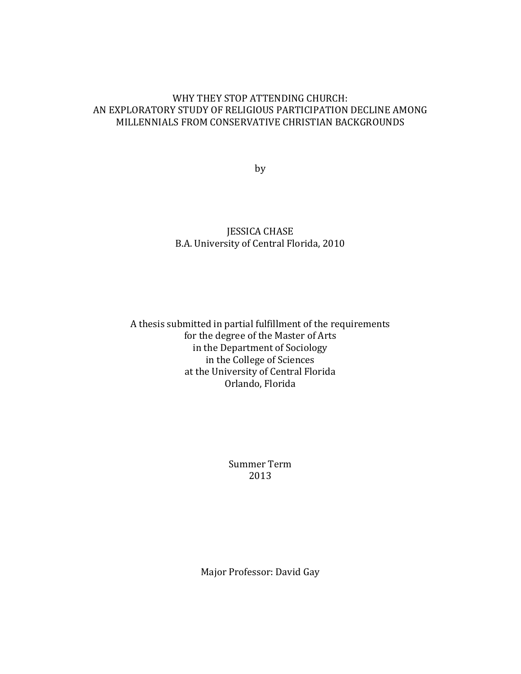#### WHY THEY STOP ATTENDING CHURCH: AN EXPLORATORY STUDY OF RELIGIOUS PARTICIPATION DECLINE AMONG MILLENNIALS FROM CONSERVATIVE CHRISTIAN BACKGROUNDS

by

#### JESSICA CHASE B.A. University of Central Florida, 2010

#### A thesis submitted in partial fulfillment of the requirements for the degree of the Master of Arts in the Department of Sociology in the College of Sciences at the University of Central Florida Orlando, Florida

Summer Term 2013

Major Professor: David Gay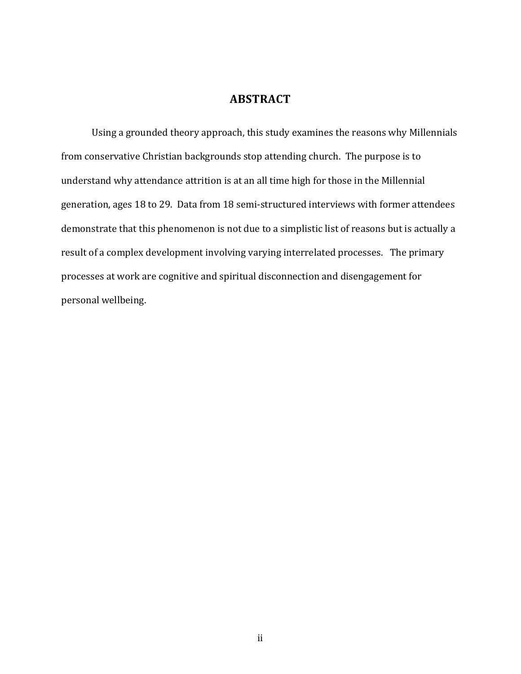#### **ABSTRACT**

Using a grounded theory approach, this study examines the reasons why Millennials from conservative Christian backgrounds stop attending church. The purpose is to understand why attendance attrition is at an all time high for those in the Millennial generation, ages 18 to 29. Data from 18 semi-structured interviews with former attendees demonstrate that this phenomenon is not due to a simplistic list of reasons but is actually a result of a complex development involving varying interrelated processes. The primary processes at work are cognitive and spiritual disconnection and disengagement for personal wellbeing.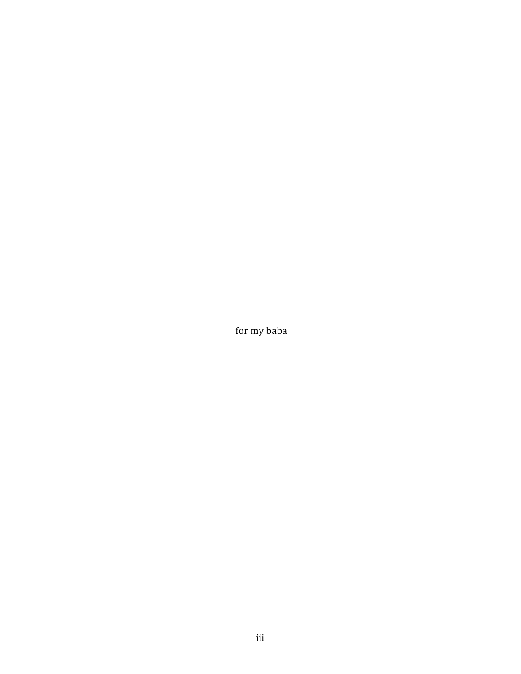for my baba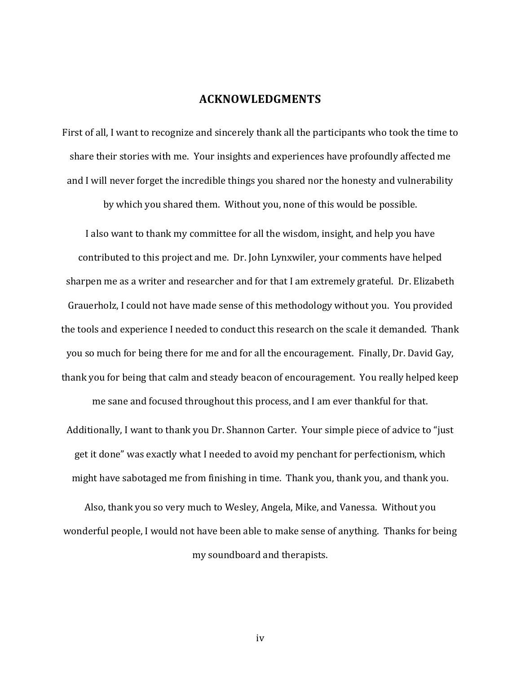#### **ACKNOWLEDGMENTS**

First of all, I want to recognize and sincerely thank all the participants who took the time to share their stories with me. Your insights and experiences have profoundly affected me and I will never forget the incredible things you shared nor the honesty and vulnerability

by which you shared them. Without you, none of this would be possible.

I also want to thank my committee for all the wisdom, insight, and help you have contributed to this project and me. Dr. John Lynxwiler, your comments have helped sharpen me as a writer and researcher and for that I am extremely grateful. Dr. Elizabeth Grauerholz, I could not have made sense of this methodology without you. You provided the tools and experience I needed to conduct this research on the scale it demanded. Thank you so much for being there for me and for all the encouragement. Finally, Dr. David Gay, thank you for being that calm and steady beacon of encouragement. You really helped keep me sane and focused throughout this process, and I am ever thankful for that.

Additionally, I want to thank you Dr. Shannon Carter. Your simple piece of advice to "just get it done" was exactly what I needed to avoid my penchant for perfectionism, which might have sabotaged me from finishing in time. Thank you, thank you, and thank you.

Also, thank you so very much to Wesley, Angela, Mike, and Vanessa. Without you wonderful people, I would not have been able to make sense of anything. Thanks for being my soundboard and therapists.

iv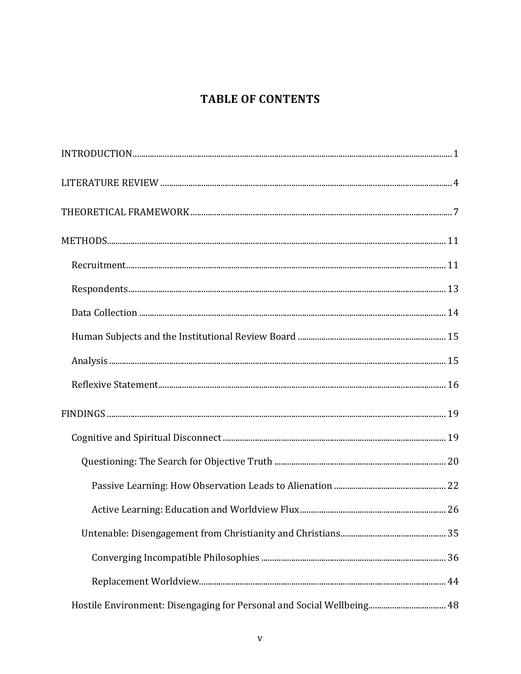### **TABLE OF CONTENTS**

| Hostile Environment: Disengaging for Personal and Social Wellbeing 48 |  |
|-----------------------------------------------------------------------|--|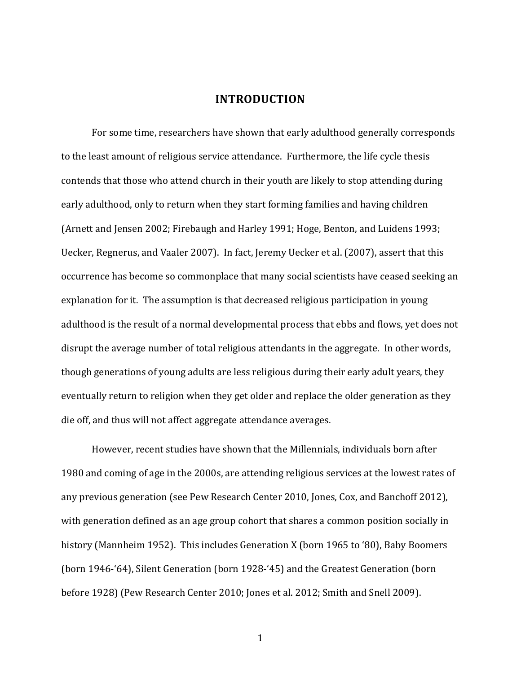#### **INTRODUCTION**

<span id="page-7-0"></span>For some time, researchers have shown that early adulthood generally corresponds to the least amount of religious service attendance. Furthermore, the life cycle thesis contends that those who attend church in their youth are likely to stop attending during early adulthood, only to return when they start forming families and having children (Arnett and Jensen 2002; Firebaugh and Harley 1991; Hoge, Benton, and Luidens 1993; Uecker, Regnerus, and Vaaler 2007). In fact, Jeremy Uecker et al. (2007), assert that this occurrence has become so commonplace that many social scientists have ceased seeking an explanation for it. The assumption is that decreased religious participation in young adulthood is the result of a normal developmental process that ebbs and flows, yet does not disrupt the average number of total religious attendants in the aggregate. In other words, though generations of young adults are less religious during their early adult years, they eventually return to religion when they get older and replace the older generation as they die off, and thus will not affect aggregate attendance averages.

However, recent studies have shown that the Millennials, individuals born after 1980 and coming of age in the 2000s, are attending religious services at the lowest rates of any previous generation (see Pew Research Center 2010, Jones, Cox, and Banchoff 2012), with generation defined as an age group cohort that shares a common position socially in history (Mannheim 1952). This includes Generation X (born 1965 to '80), Baby Boomers (born 1946-'64), Silent Generation (born 1928-'45) and the Greatest Generation (born before 1928) (Pew Research Center 2010; Jones et al. 2012; Smith and Snell 2009).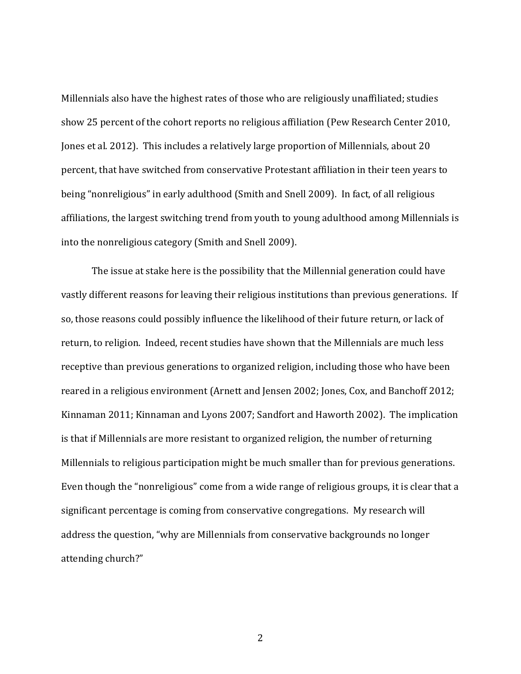Millennials also have the highest rates of those who are religiously unaffiliated; studies show 25 percent of the cohort reports no religious affiliation (Pew Research Center 2010, Jones et al. 2012). This includes a relatively large proportion of Millennials, about 20 percent, that have switched from conservative Protestant affiliation in their teen years to being "nonreligious" in early adulthood (Smith and Snell 2009). In fact, of all religious affiliations, the largest switching trend from youth to young adulthood among Millennials is into the nonreligious category (Smith and Snell 2009).

The issue at stake here is the possibility that the Millennial generation could have vastly different reasons for leaving their religious institutions than previous generations. If so, those reasons could possibly influence the likelihood of their future return, or lack of return, to religion. Indeed, recent studies have shown that the Millennials are much less receptive than previous generations to organized religion, including those who have been reared in a religious environment (Arnett and Jensen 2002; Jones, Cox, and Banchoff 2012; Kinnaman 2011; Kinnaman and Lyons 2007; Sandfort and Haworth 2002). The implication is that if Millennials are more resistant to organized religion, the number of returning Millennials to religious participation might be much smaller than for previous generations. Even though the "nonreligious" come from a wide range of religious groups, it is clear that a significant percentage is coming from conservative congregations. My research will address the question, "why are Millennials from conservative backgrounds no longer attending church?"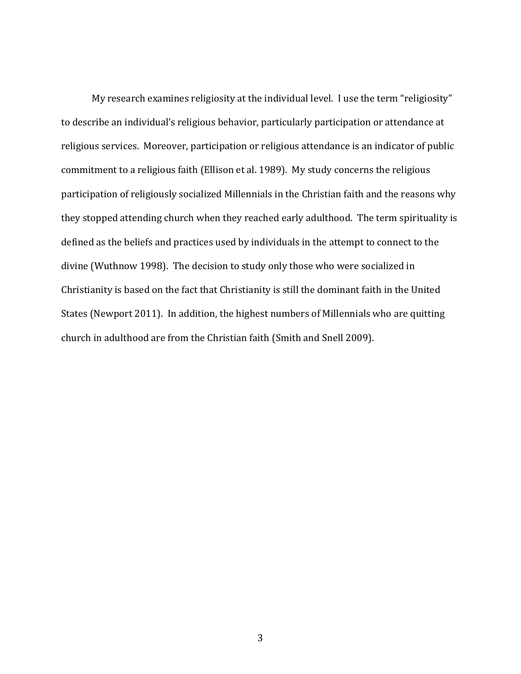My research examines religiosity at the individual level. I use the term "religiosity" to describe an individual's religious behavior, particularly participation or attendance at religious services. Moreover, participation or religious attendance is an indicator of public commitment to a religious faith (Ellison et al. 1989). My study concerns the religious participation of religiously socialized Millennials in the Christian faith and the reasons why they stopped attending church when they reached early adulthood. The term spirituality is defined as the beliefs and practices used by individuals in the attempt to connect to the divine (Wuthnow 1998). The decision to study only those who were socialized in Christianity is based on the fact that Christianity is still the dominant faith in the United States (Newport 2011). In addition, the highest numbers of Millennials who are quitting church in adulthood are from the Christian faith (Smith and Snell 2009).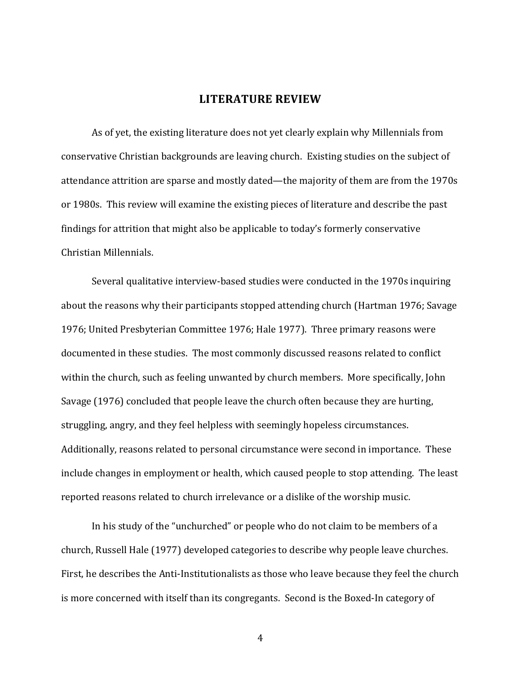#### **LITERATURE REVIEW**

<span id="page-10-0"></span>As of yet, the existing literature does not yet clearly explain why Millennials from conservative Christian backgrounds are leaving church. Existing studies on the subject of attendance attrition are sparse and mostly dated—the majority of them are from the 1970s or 1980s. This review will examine the existing pieces of literature and describe the past findings for attrition that might also be applicable to today's formerly conservative Christian Millennials.

Several qualitative interview-based studies were conducted in the 1970s inquiring about the reasons why their participants stopped attending church (Hartman 1976; Savage 1976; United Presbyterian Committee 1976; Hale 1977). Three primary reasons were documented in these studies. The most commonly discussed reasons related to conflict within the church, such as feeling unwanted by church members. More specifically, John Savage (1976) concluded that people leave the church often because they are hurting, struggling, angry, and they feel helpless with seemingly hopeless circumstances. Additionally, reasons related to personal circumstance were second in importance. These include changes in employment or health, which caused people to stop attending. The least reported reasons related to church irrelevance or a dislike of the worship music.

In his study of the "unchurched" or people who do not claim to be members of a church, Russell Hale (1977) developed categories to describe why people leave churches. First, he describes the Anti-Institutionalists as those who leave because they feel the church is more concerned with itself than its congregants. Second is the Boxed-In category of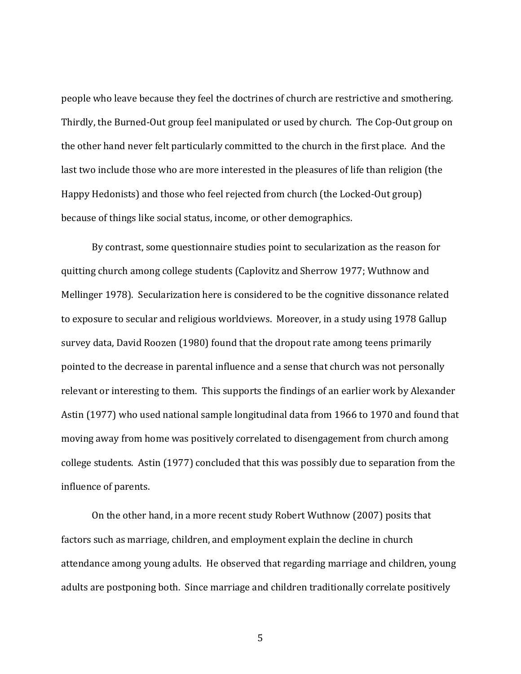people who leave because they feel the doctrines of church are restrictive and smothering. Thirdly, the Burned-Out group feel manipulated or used by church. The Cop-Out group on the other hand never felt particularly committed to the church in the first place. And the last two include those who are more interested in the pleasures of life than religion (the Happy Hedonists) and those who feel rejected from church (the Locked-Out group) because of things like social status, income, or other demographics.

By contrast, some questionnaire studies point to secularization as the reason for quitting church among college students (Caplovitz and Sherrow 1977; Wuthnow and Mellinger 1978). Secularization here is considered to be the cognitive dissonance related to exposure to secular and religious worldviews. Moreover, in a study using 1978 Gallup survey data, David Roozen (1980) found that the dropout rate among teens primarily pointed to the decrease in parental influence and a sense that church was not personally relevant or interesting to them. This supports the findings of an earlier work by Alexander Astin (1977) who used national sample longitudinal data from 1966 to 1970 and found that moving away from home was positively correlated to disengagement from church among college students. Astin (1977) concluded that this was possibly due to separation from the influence of parents.

On the other hand, in a more recent study Robert Wuthnow (2007) posits that factors such as marriage, children, and employment explain the decline in church attendance among young adults. He observed that regarding marriage and children, young adults are postponing both. Since marriage and children traditionally correlate positively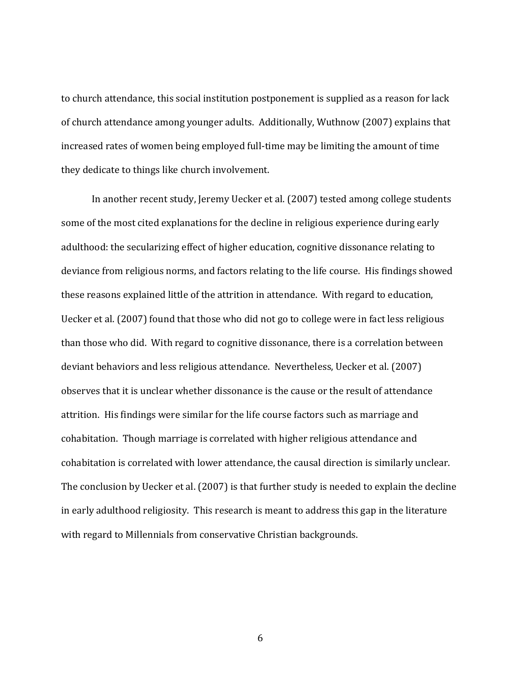to church attendance, this social institution postponement is supplied as a reason for lack of church attendance among younger adults. Additionally, Wuthnow (2007) explains that increased rates of women being employed full-time may be limiting the amount of time they dedicate to things like church involvement.

In another recent study, Jeremy Uecker et al. (2007) tested among college students some of the most cited explanations for the decline in religious experience during early adulthood: the secularizing effect of higher education, cognitive dissonance relating to deviance from religious norms, and factors relating to the life course. His findings showed these reasons explained little of the attrition in attendance. With regard to education, Uecker et al. (2007) found that those who did not go to college were in fact less religious than those who did. With regard to cognitive dissonance, there is a correlation between deviant behaviors and less religious attendance. Nevertheless, Uecker et al. (2007) observes that it is unclear whether dissonance is the cause or the result of attendance attrition. His findings were similar for the life course factors such as marriage and cohabitation. Though marriage is correlated with higher religious attendance and cohabitation is correlated with lower attendance, the causal direction is similarly unclear. The conclusion by Uecker et al. (2007) is that further study is needed to explain the decline in early adulthood religiosity. This research is meant to address this gap in the literature with regard to Millennials from conservative Christian backgrounds.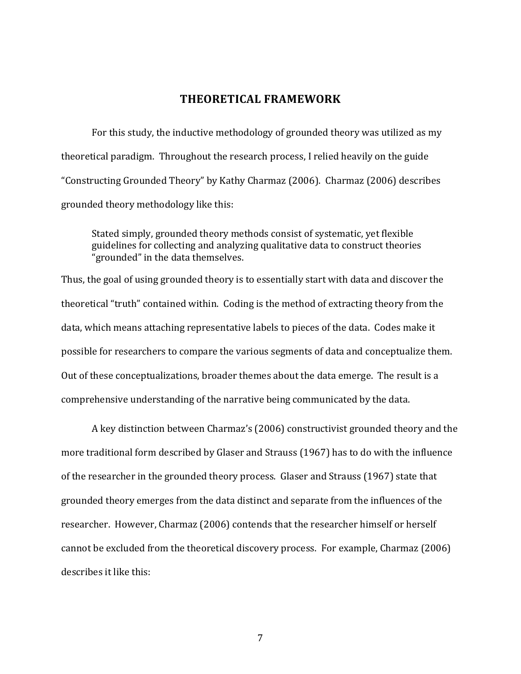#### **THEORETICAL FRAMEWORK**

<span id="page-13-0"></span>For this study, the inductive methodology of grounded theory was utilized as my theoretical paradigm. Throughout the research process, I relied heavily on the guide "Constructing Grounded Theory" by Kathy Charmaz (2006). Charmaz (2006) describes grounded theory methodology like this:

Stated simply, grounded theory methods consist of systematic, yet flexible guidelines for collecting and analyzing qualitative data to construct theories "grounded" in the data themselves.

Thus, the goal of using grounded theory is to essentially start with data and discover the theoretical "truth" contained within. Coding is the method of extracting theory from the data, which means attaching representative labels to pieces of the data. Codes make it possible for researchers to compare the various segments of data and conceptualize them. Out of these conceptualizations, broader themes about the data emerge. The result is a comprehensive understanding of the narrative being communicated by the data.

A key distinction between Charmaz's (2006) constructivist grounded theory and the more traditional form described by Glaser and Strauss (1967) has to do with the influence of the researcher in the grounded theory process. Glaser and Strauss (1967) state that grounded theory emerges from the data distinct and separate from the influences of the researcher. However, Charmaz (2006) contends that the researcher himself or herself cannot be excluded from the theoretical discovery process. For example, Charmaz (2006) describes it like this: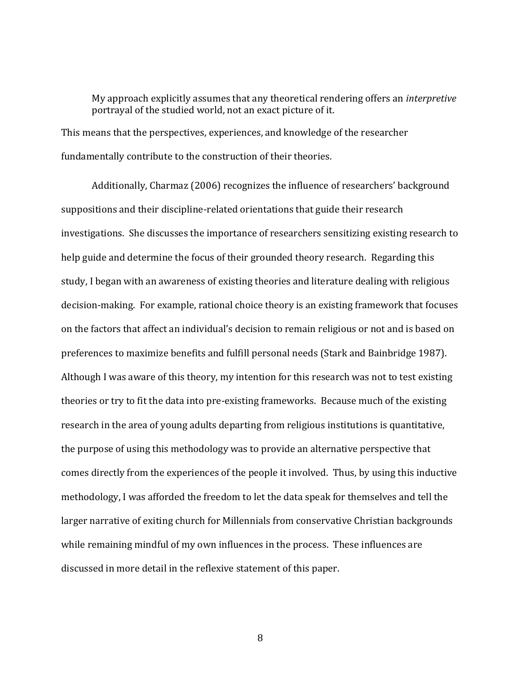My approach explicitly assumes that any theoretical rendering offers an *interpretive* portrayal of the studied world, not an exact picture of it. This means that the perspectives, experiences, and knowledge of the researcher fundamentally contribute to the construction of their theories.

Additionally, Charmaz (2006) recognizes the influence of researchers' background suppositions and their discipline-related orientations that guide their research investigations. She discusses the importance of researchers sensitizing existing research to help guide and determine the focus of their grounded theory research. Regarding this study, I began with an awareness of existing theories and literature dealing with religious decision-making. For example, rational choice theory is an existing framework that focuses on the factors that affect an individual's decision to remain religious or not and is based on preferences to maximize benefits and fulfill personal needs (Stark and Bainbridge 1987). Although I was aware of this theory, my intention for this research was not to test existing theories or try to fit the data into pre-existing frameworks. Because much of the existing research in the area of young adults departing from religious institutions is quantitative, the purpose of using this methodology was to provide an alternative perspective that comes directly from the experiences of the people it involved. Thus, by using this inductive methodology, I was afforded the freedom to let the data speak for themselves and tell the larger narrative of exiting church for Millennials from conservative Christian backgrounds while remaining mindful of my own influences in the process. These influences are discussed in more detail in the reflexive statement of this paper.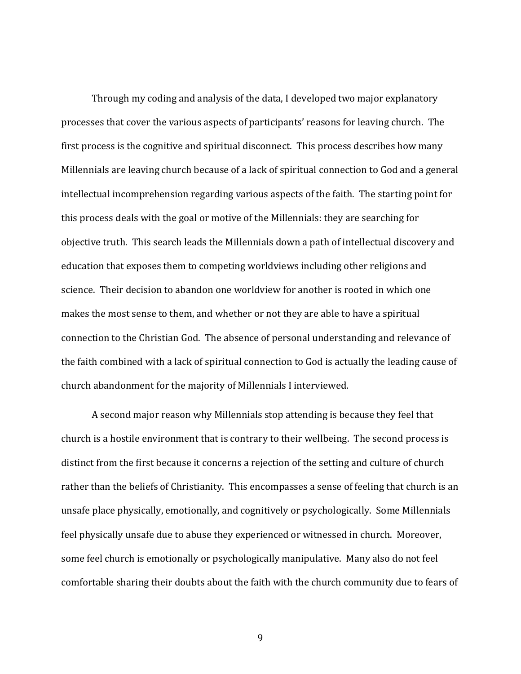Through my coding and analysis of the data, I developed two major explanatory processes that cover the various aspects of participants' reasons for leaving church. The first process is the cognitive and spiritual disconnect. This process describes how many Millennials are leaving church because of a lack of spiritual connection to God and a general intellectual incomprehension regarding various aspects of the faith. The starting point for this process deals with the goal or motive of the Millennials: they are searching for objective truth. This search leads the Millennials down a path of intellectual discovery and education that exposes them to competing worldviews including other religions and science. Their decision to abandon one worldview for another is rooted in which one makes the most sense to them, and whether or not they are able to have a spiritual connection to the Christian God. The absence of personal understanding and relevance of the faith combined with a lack of spiritual connection to God is actually the leading cause of church abandonment for the majority of Millennials I interviewed.

A second major reason why Millennials stop attending is because they feel that church is a hostile environment that is contrary to their wellbeing. The second process is distinct from the first because it concerns a rejection of the setting and culture of church rather than the beliefs of Christianity. This encompasses a sense of feeling that church is an unsafe place physically, emotionally, and cognitively or psychologically. Some Millennials feel physically unsafe due to abuse they experienced or witnessed in church. Moreover, some feel church is emotionally or psychologically manipulative. Many also do not feel comfortable sharing their doubts about the faith with the church community due to fears of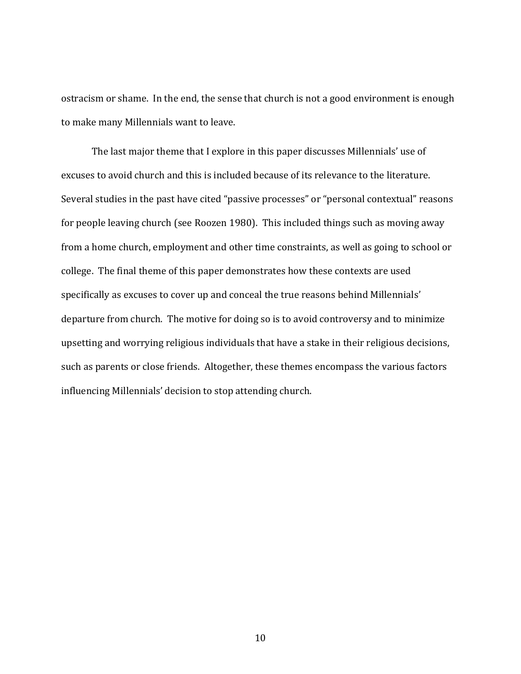ostracism or shame. In the end, the sense that church is not a good environment is enough to make many Millennials want to leave.

The last major theme that I explore in this paper discusses Millennials' use of excuses to avoid church and this is included because of its relevance to the literature. Several studies in the past have cited "passive processes" or "personal contextual" reasons for people leaving church (see Roozen 1980). This included things such as moving away from a home church, employment and other time constraints, as well as going to school or college. The final theme of this paper demonstrates how these contexts are used specifically as excuses to cover up and conceal the true reasons behind Millennials' departure from church. The motive for doing so is to avoid controversy and to minimize upsetting and worrying religious individuals that have a stake in their religious decisions, such as parents or close friends. Altogether, these themes encompass the various factors influencing Millennials' decision to stop attending church.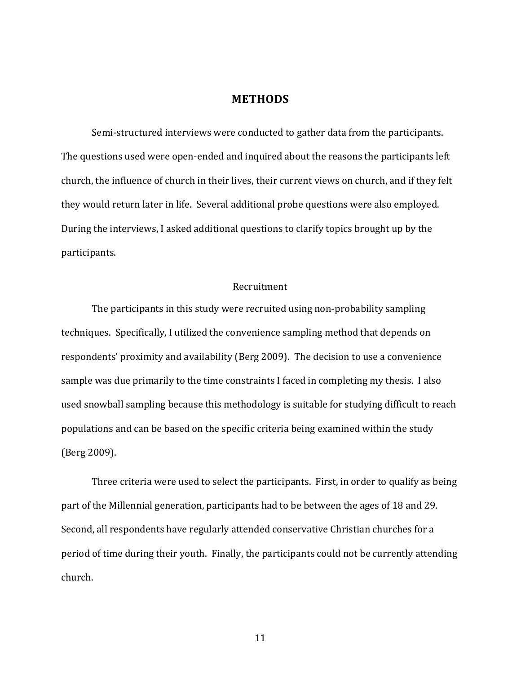#### **METHODS**

<span id="page-17-0"></span>Semi-structured interviews were conducted to gather data from the participants. The questions used were open-ended and inquired about the reasons the participants left church, the influence of church in their lives, their current views on church, and if they felt they would return later in life. Several additional probe questions were also employed. During the interviews, I asked additional questions to clarify topics brought up by the participants.

#### Recruitment

<span id="page-17-1"></span>The participants in this study were recruited using non-probability sampling techniques. Specifically, I utilized the convenience sampling method that depends on respondents' proximity and availability (Berg 2009). The decision to use a convenience sample was due primarily to the time constraints I faced in completing my thesis. I also used snowball sampling because this methodology is suitable for studying difficult to reach populations and can be based on the specific criteria being examined within the study (Berg 2009).

Three criteria were used to select the participants. First, in order to qualify as being part of the Millennial generation, participants had to be between the ages of 18 and 29. Second, all respondents have regularly attended conservative Christian churches for a period of time during their youth. Finally, the participants could not be currently attending church.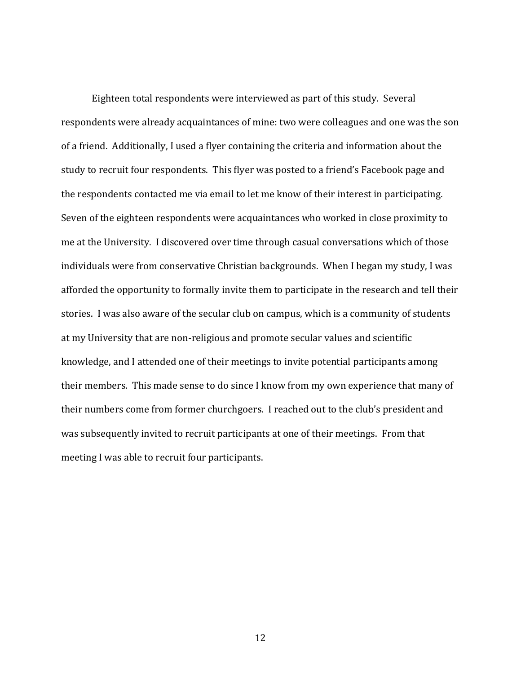Eighteen total respondents were interviewed as part of this study. Several respondents were already acquaintances of mine: two were colleagues and one was the son of a friend. Additionally, I used a flyer containing the criteria and information about the study to recruit four respondents. This flyer was posted to a friend's Facebook page and the respondents contacted me via email to let me know of their interest in participating. Seven of the eighteen respondents were acquaintances who worked in close proximity to me at the University. I discovered over time through casual conversations which of those individuals were from conservative Christian backgrounds. When I began my study, I was afforded the opportunity to formally invite them to participate in the research and tell their stories. I was also aware of the secular club on campus, which is a community of students at my University that are non-religious and promote secular values and scientific knowledge, and I attended one of their meetings to invite potential participants among their members. This made sense to do since I know from my own experience that many of their numbers come from former churchgoers. I reached out to the club's president and was subsequently invited to recruit participants at one of their meetings. From that meeting I was able to recruit four participants.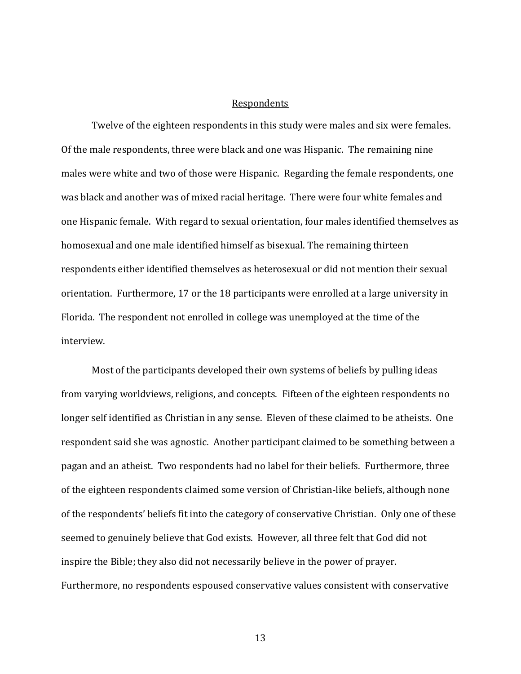#### Respondents

<span id="page-19-0"></span>Twelve of the eighteen respondents in this study were males and six were females. Of the male respondents, three were black and one was Hispanic. The remaining nine males were white and two of those were Hispanic. Regarding the female respondents, one was black and another was of mixed racial heritage. There were four white females and one Hispanic female. With regard to sexual orientation, four males identified themselves as homosexual and one male identified himself as bisexual. The remaining thirteen respondents either identified themselves as heterosexual or did not mention their sexual orientation. Furthermore, 17 or the 18 participants were enrolled at a large university in Florida. The respondent not enrolled in college was unemployed at the time of the interview.

Most of the participants developed their own systems of beliefs by pulling ideas from varying worldviews, religions, and concepts. Fifteen of the eighteen respondents no longer self identified as Christian in any sense. Eleven of these claimed to be atheists. One respondent said she was agnostic. Another participant claimed to be something between a pagan and an atheist. Two respondents had no label for their beliefs. Furthermore, three of the eighteen respondents claimed some version of Christian-like beliefs, although none of the respondents' beliefs fit into the category of conservative Christian. Only one of these seemed to genuinely believe that God exists. However, all three felt that God did not inspire the Bible; they also did not necessarily believe in the power of prayer. Furthermore, no respondents espoused conservative values consistent with conservative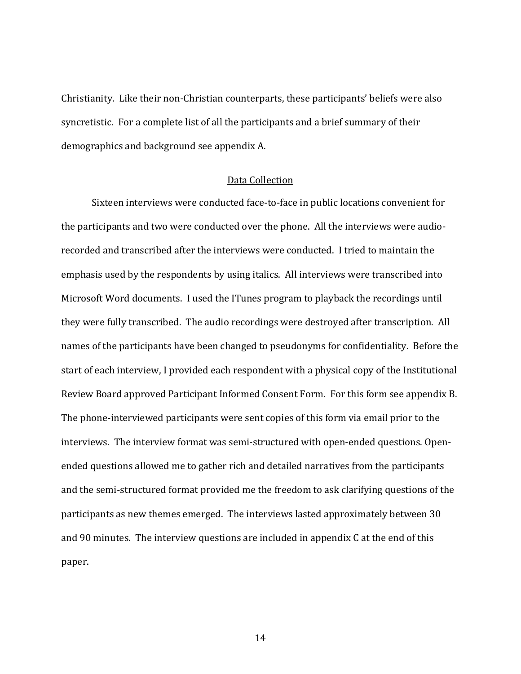Christianity. Like their non-Christian counterparts, these participants' beliefs were also syncretistic. For a complete list of all the participants and a brief summary of their demographics and background see appendix A.

#### Data Collection

<span id="page-20-0"></span>Sixteen interviews were conducted face-to-face in public locations convenient for the participants and two were conducted over the phone. All the interviews were audiorecorded and transcribed after the interviews were conducted. I tried to maintain the emphasis used by the respondents by using italics. All interviews were transcribed into Microsoft Word documents. I used the ITunes program to playback the recordings until they were fully transcribed. The audio recordings were destroyed after transcription. All names of the participants have been changed to pseudonyms for confidentiality. Before the start of each interview, I provided each respondent with a physical copy of the Institutional Review Board approved Participant Informed Consent Form. For this form see appendix B. The phone-interviewed participants were sent copies of this form via email prior to the interviews. The interview format was semi-structured with open-ended questions. Openended questions allowed me to gather rich and detailed narratives from the participants and the semi-structured format provided me the freedom to ask clarifying questions of the participants as new themes emerged. The interviews lasted approximately between 30 and 90 minutes. The interview questions are included in appendix C at the end of this paper.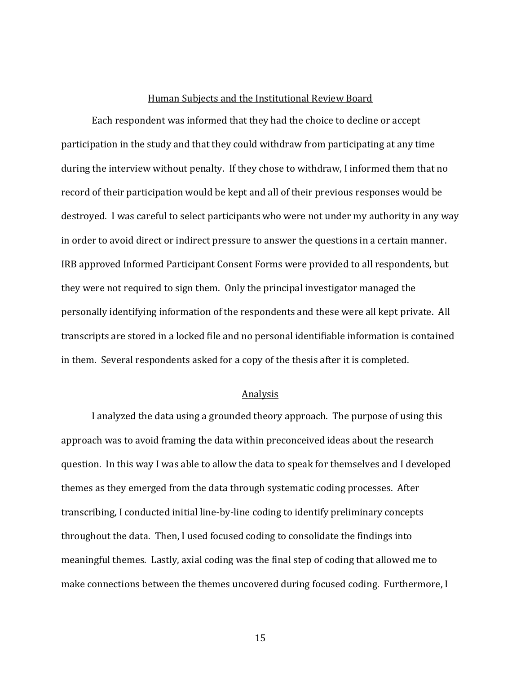#### Human Subjects and the Institutional Review Board

<span id="page-21-0"></span>Each respondent was informed that they had the choice to decline or accept participation in the study and that they could withdraw from participating at any time during the interview without penalty. If they chose to withdraw, I informed them that no record of their participation would be kept and all of their previous responses would be destroyed. I was careful to select participants who were not under my authority in any way in order to avoid direct or indirect pressure to answer the questions in a certain manner. IRB approved Informed Participant Consent Forms were provided to all respondents, but they were not required to sign them. Only the principal investigator managed the personally identifying information of the respondents and these were all kept private. All transcripts are stored in a locked file and no personal identifiable information is contained in them. Several respondents asked for a copy of the thesis after it is completed.

#### Analysis

<span id="page-21-1"></span>I analyzed the data using a grounded theory approach. The purpose of using this approach was to avoid framing the data within preconceived ideas about the research question. In this way I was able to allow the data to speak for themselves and I developed themes as they emerged from the data through systematic coding processes. After transcribing, I conducted initial line-by-line coding to identify preliminary concepts throughout the data. Then, I used focused coding to consolidate the findings into meaningful themes. Lastly, axial coding was the final step of coding that allowed me to make connections between the themes uncovered during focused coding. Furthermore, I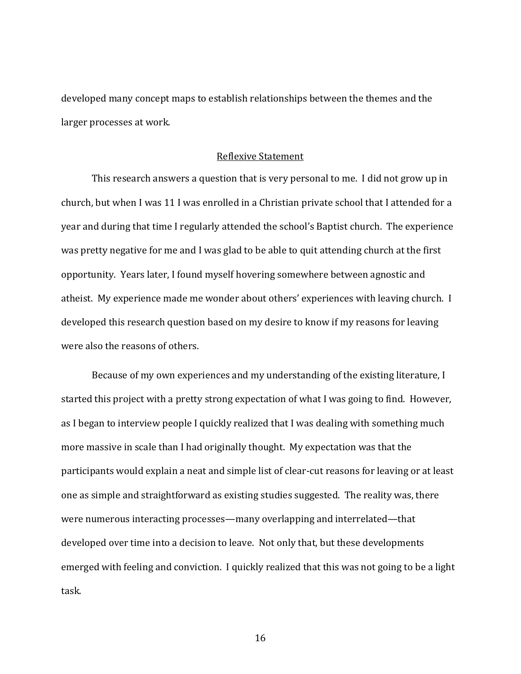developed many concept maps to establish relationships between the themes and the larger processes at work.

#### Reflexive Statement

<span id="page-22-0"></span>This research answers a question that is very personal to me. I did not grow up in church, but when I was 11 I was enrolled in a Christian private school that I attended for a year and during that time I regularly attended the school's Baptist church. The experience was pretty negative for me and I was glad to be able to quit attending church at the first opportunity. Years later, I found myself hovering somewhere between agnostic and atheist. My experience made me wonder about others' experiences with leaving church. I developed this research question based on my desire to know if my reasons for leaving were also the reasons of others.

Because of my own experiences and my understanding of the existing literature, I started this project with a pretty strong expectation of what I was going to find. However, as I began to interview people I quickly realized that I was dealing with something much more massive in scale than I had originally thought. My expectation was that the participants would explain a neat and simple list of clear-cut reasons for leaving or at least one as simple and straightforward as existing studies suggested. The reality was, there were numerous interacting processes—many overlapping and interrelated—that developed over time into a decision to leave. Not only that, but these developments emerged with feeling and conviction. I quickly realized that this was not going to be a light task.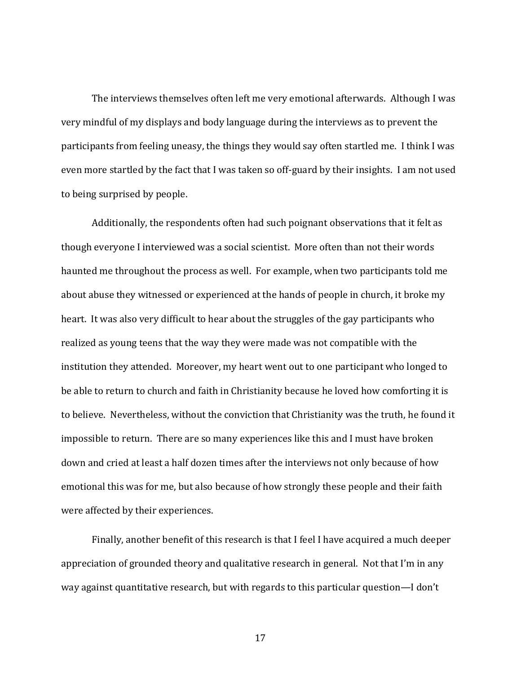The interviews themselves often left me very emotional afterwards. Although I was very mindful of my displays and body language during the interviews as to prevent the participants from feeling uneasy, the things they would say often startled me. I think I was even more startled by the fact that I was taken so off-guard by their insights. I am not used to being surprised by people.

Additionally, the respondents often had such poignant observations that it felt as though everyone I interviewed was a social scientist. More often than not their words haunted me throughout the process as well. For example, when two participants told me about abuse they witnessed or experienced at the hands of people in church, it broke my heart. It was also very difficult to hear about the struggles of the gay participants who realized as young teens that the way they were made was not compatible with the institution they attended. Moreover, my heart went out to one participant who longed to be able to return to church and faith in Christianity because he loved how comforting it is to believe. Nevertheless, without the conviction that Christianity was the truth, he found it impossible to return. There are so many experiences like this and I must have broken down and cried at least a half dozen times after the interviews not only because of how emotional this was for me, but also because of how strongly these people and their faith were affected by their experiences.

Finally, another benefit of this research is that I feel I have acquired a much deeper appreciation of grounded theory and qualitative research in general. Not that I'm in any way against quantitative research, but with regards to this particular question—I don't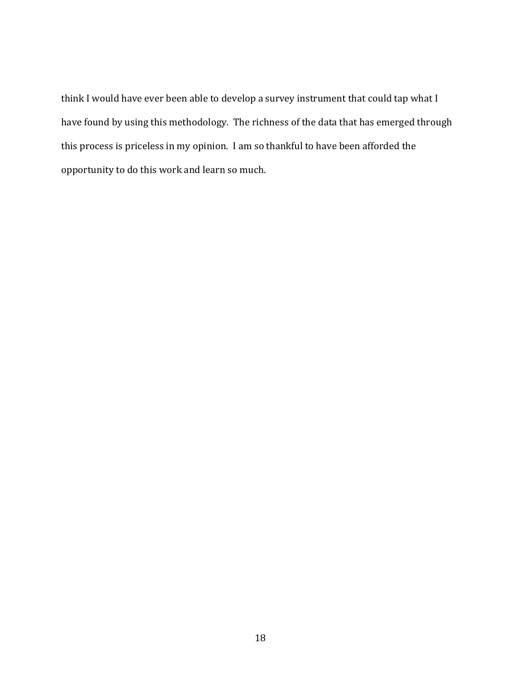think I would have ever been able to develop a survey instrument that could tap what I have found by using this methodology. The richness of the data that has emerged through this process is priceless in my opinion. I am so thankful to have been afforded the opportunity to do this work and learn so much.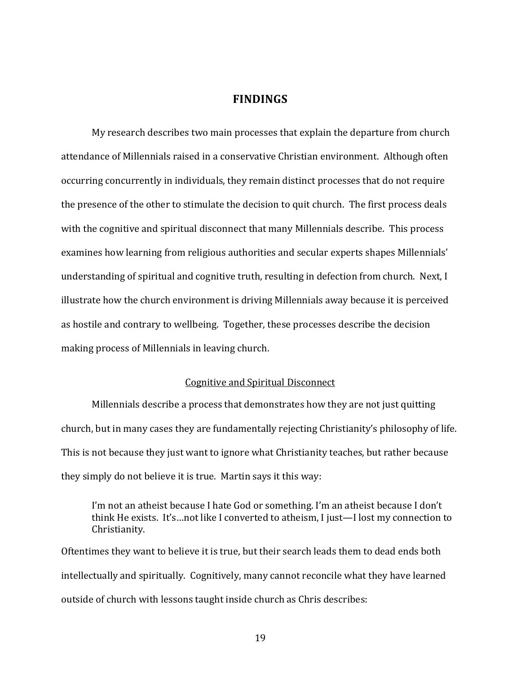#### **FINDINGS**

<span id="page-25-0"></span>My research describes two main processes that explain the departure from church attendance of Millennials raised in a conservative Christian environment. Although often occurring concurrently in individuals, they remain distinct processes that do not require the presence of the other to stimulate the decision to quit church. The first process deals with the cognitive and spiritual disconnect that many Millennials describe. This process examines how learning from religious authorities and secular experts shapes Millennials' understanding of spiritual and cognitive truth, resulting in defection from church. Next, I illustrate how the church environment is driving Millennials away because it is perceived as hostile and contrary to wellbeing. Together, these processes describe the decision making process of Millennials in leaving church.

#### Cognitive and Spiritual Disconnect

<span id="page-25-1"></span>Millennials describe a process that demonstrates how they are not just quitting church, but in many cases they are fundamentally rejecting Christianity's philosophy of life. This is not because they just want to ignore what Christianity teaches, but rather because they simply do not believe it is true. Martin says it this way:

I'm not an atheist because I hate God or something. I'm an atheist because I don't think He exists. It's…not like I converted to atheism, I just—I lost my connection to Christianity.

Oftentimes they want to believe it is true, but their search leads them to dead ends both intellectually and spiritually. Cognitively, many cannot reconcile what they have learned outside of church with lessons taught inside church as Chris describes: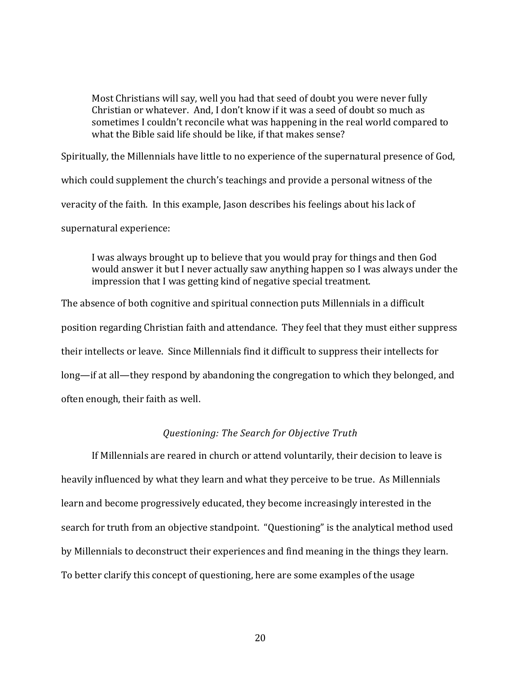Most Christians will say, well you had that seed of doubt you were never fully Christian or whatever. And, I don't know if it was a seed of doubt so much as sometimes I couldn't reconcile what was happening in the real world compared to what the Bible said life should be like, if that makes sense?

Spiritually, the Millennials have little to no experience of the supernatural presence of God, which could supplement the church's teachings and provide a personal witness of the veracity of the faith. In this example, Jason describes his feelings about his lack of supernatural experience:

I was always brought up to believe that you would pray for things and then God would answer it but I never actually saw anything happen so I was always under the impression that I was getting kind of negative special treatment.

The absence of both cognitive and spiritual connection puts Millennials in a difficult position regarding Christian faith and attendance. They feel that they must either suppress their intellects or leave. Since Millennials find it difficult to suppress their intellects for long—if at all—they respond by abandoning the congregation to which they belonged, and often enough, their faith as well.

#### *Questioning: The Search for Objective Truth*

<span id="page-26-0"></span>If Millennials are reared in church or attend voluntarily, their decision to leave is heavily influenced by what they learn and what they perceive to be true. As Millennials learn and become progressively educated, they become increasingly interested in the search for truth from an objective standpoint. "Questioning" is the analytical method used by Millennials to deconstruct their experiences and find meaning in the things they learn. To better clarify this concept of questioning, here are some examples of the usage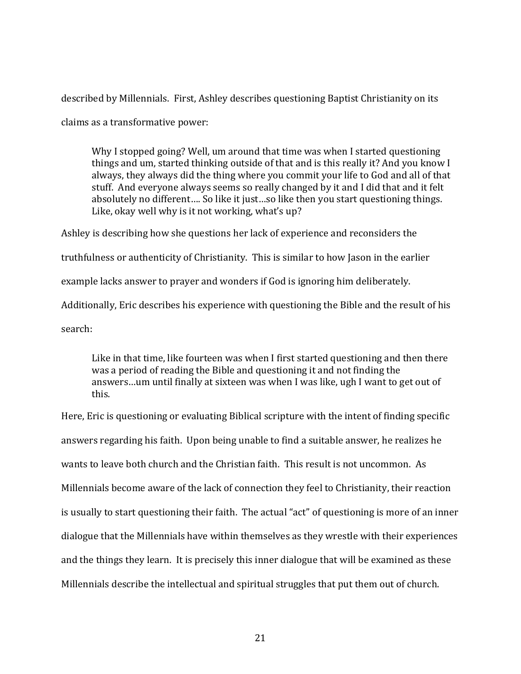described by Millennials. First, Ashley describes questioning Baptist Christianity on its claims as a transformative power:

Why I stopped going? Well, um around that time was when I started questioning things and um, started thinking outside of that and is this really it? And you know I always, they always did the thing where you commit your life to God and all of that stuff. And everyone always seems so really changed by it and I did that and it felt absolutely no different…. So like it just…so like then you start questioning things. Like, okay well why is it not working, what's up?

Ashley is describing how she questions her lack of experience and reconsiders the truthfulness or authenticity of Christianity. This is similar to how Jason in the earlier example lacks answer to prayer and wonders if God is ignoring him deliberately. Additionally, Eric describes his experience with questioning the Bible and the result of his search:

Like in that time, like fourteen was when I first started questioning and then there was a period of reading the Bible and questioning it and not finding the answers…um until finally at sixteen was when I was like, ugh I want to get out of this.

Here, Eric is questioning or evaluating Biblical scripture with the intent of finding specific answers regarding his faith. Upon being unable to find a suitable answer, he realizes he wants to leave both church and the Christian faith. This result is not uncommon. As Millennials become aware of the lack of connection they feel to Christianity, their reaction is usually to start questioning their faith. The actual "act" of questioning is more of an inner dialogue that the Millennials have within themselves as they wrestle with their experiences and the things they learn. It is precisely this inner dialogue that will be examined as these Millennials describe the intellectual and spiritual struggles that put them out of church.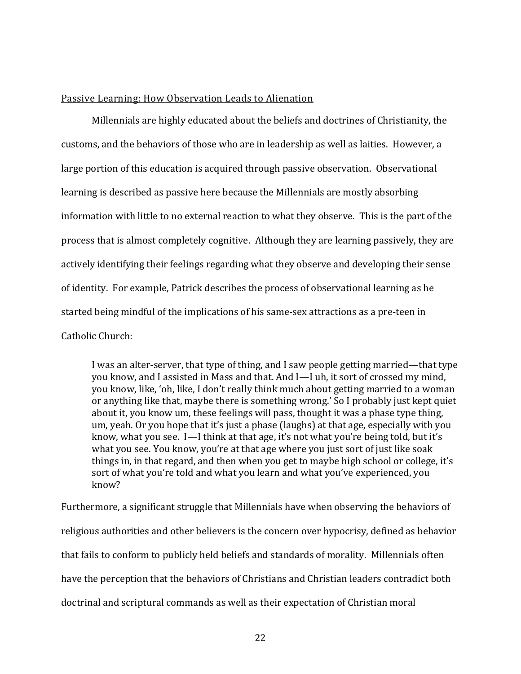#### <span id="page-28-0"></span>Passive Learning: How Observation Leads to Alienation

Millennials are highly educated about the beliefs and doctrines of Christianity, the customs, and the behaviors of those who are in leadership as well as laities. However, a large portion of this education is acquired through passive observation. Observational learning is described as passive here because the Millennials are mostly absorbing information with little to no external reaction to what they observe. This is the part of the process that is almost completely cognitive. Although they are learning passively, they are actively identifying their feelings regarding what they observe and developing their sense of identity. For example, Patrick describes the process of observational learning as he started being mindful of the implications of his same-sex attractions as a pre-teen in Catholic Church:

I was an alter-server, that type of thing, and I saw people getting married—that type you know, and I assisted in Mass and that. And I—I uh, it sort of crossed my mind, you know, like, 'oh, like, I don't really think much about getting married to a woman or anything like that, maybe there is something wrong.' So I probably just kept quiet about it, you know um, these feelings will pass, thought it was a phase type thing, um, yeah. Or you hope that it's just a phase (laughs) at that age, especially with you know, what you see. I—I think at that age, it's not what you're being told, but it's what you see. You know, you're at that age where you just sort of just like soak things in, in that regard, and then when you get to maybe high school or college, it's sort of what you're told and what you learn and what you've experienced, you know?

Furthermore, a significant struggle that Millennials have when observing the behaviors of religious authorities and other believers is the concern over hypocrisy, defined as behavior that fails to conform to publicly held beliefs and standards of morality. Millennials often have the perception that the behaviors of Christians and Christian leaders contradict both doctrinal and scriptural commands as well as their expectation of Christian moral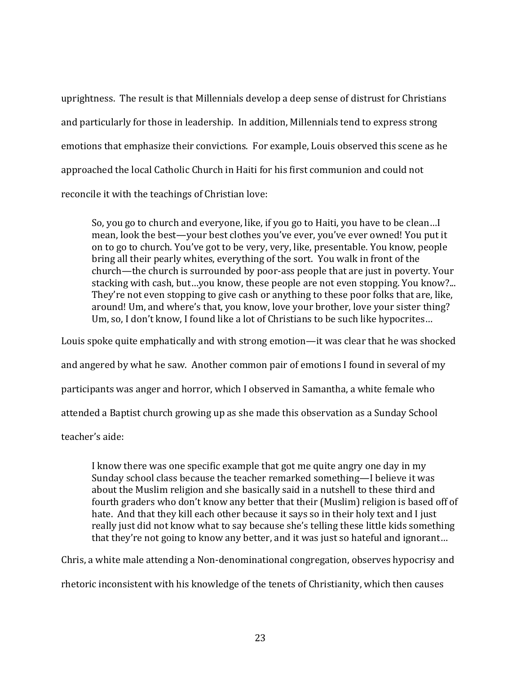uprightness. The result is that Millennials develop a deep sense of distrust for Christians and particularly for those in leadership. In addition, Millennials tend to express strong emotions that emphasize their convictions. For example, Louis observed this scene as he approached the local Catholic Church in Haiti for his first communion and could not reconcile it with the teachings of Christian love:

So, you go to church and everyone, like, if you go to Haiti, you have to be clean…I mean, look the best—your best clothes you've ever, you've ever owned! You put it on to go to church. You've got to be very, very, like, presentable. You know, people bring all their pearly whites, everything of the sort. You walk in front of the church—the church is surrounded by poor-ass people that are just in poverty. Your stacking with cash, but…you know, these people are not even stopping. You know?... They're not even stopping to give cash or anything to these poor folks that are, like, around! Um, and where's that, you know, love your brother, love your sister thing? Um, so, I don't know, I found like a lot of Christians to be such like hypocrites…

Louis spoke quite emphatically and with strong emotion—it was clear that he was shocked and angered by what he saw. Another common pair of emotions I found in several of my participants was anger and horror, which I observed in Samantha, a white female who attended a Baptist church growing up as she made this observation as a Sunday School

teacher's aide:

I know there was one specific example that got me quite angry one day in my Sunday school class because the teacher remarked something—I believe it was about the Muslim religion and she basically said in a nutshell to these third and fourth graders who don't know any better that their (Muslim) religion is based off of hate. And that they kill each other because it says so in their holy text and I just really just did not know what to say because she's telling these little kids something that they're not going to know any better, and it was just so hateful and ignorant…

Chris, a white male attending a Non-denominational congregation, observes hypocrisy and rhetoric inconsistent with his knowledge of the tenets of Christianity, which then causes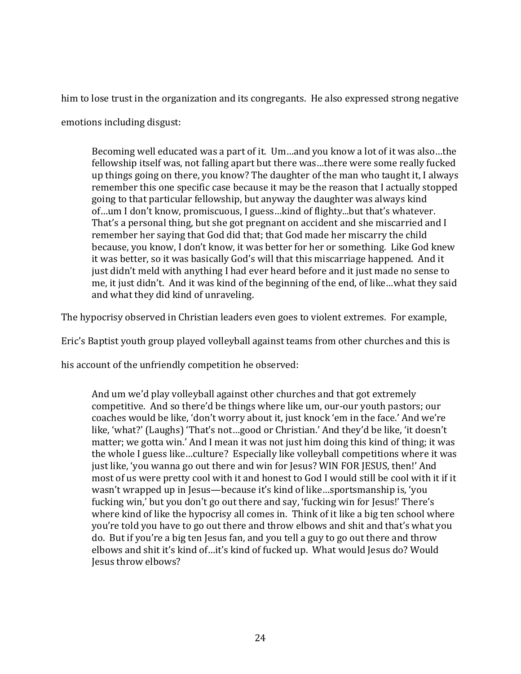him to lose trust in the organization and its congregants. He also expressed strong negative

emotions including disgust:

Becoming well educated was a part of it. Um…and you know a lot of it was also…the fellowship itself was, not falling apart but there was…there were some really fucked up things going on there, you know? The daughter of the man who taught it, I always remember this one specific case because it may be the reason that I actually stopped going to that particular fellowship, but anyway the daughter was always kind of…um I don't know, promiscuous, I guess…kind of flighty...but that's whatever. That's a personal thing, but she got pregnant on accident and she miscarried and I remember her saying that God did that; that God made her miscarry the child because, you know, I don't know, it was better for her or something. Like God knew it was better, so it was basically God's will that this miscarriage happened. And it just didn't meld with anything I had ever heard before and it just made no sense to me, it just didn't. And it was kind of the beginning of the end, of like…what they said and what they did kind of unraveling.

The hypocrisy observed in Christian leaders even goes to violent extremes. For example,

Eric's Baptist youth group played volleyball against teams from other churches and this is

his account of the unfriendly competition he observed:

And um we'd play volleyball against other churches and that got extremely competitive. And so there'd be things where like um, our-our youth pastors; our coaches would be like, 'don't worry about it, just knock 'em in the face.' And we're like, 'what?' (Laughs) 'That's not…good or Christian.' And they'd be like, 'it doesn't matter; we gotta win.' And I mean it was not just him doing this kind of thing; it was the whole I guess like…culture? Especially like volleyball competitions where it was just like, 'you wanna go out there and win for Jesus? WIN FOR JESUS, then!' And most of us were pretty cool with it and honest to God I would still be cool with it if it wasn't wrapped up in Jesus—because it's kind of like…sportsmanship is, 'you fucking win,' but you don't go out there and say, 'fucking win for Jesus!' There's where kind of like the hypocrisy all comes in. Think of it like a big ten school where you're told you have to go out there and throw elbows and shit and that's what you do. But if you're a big ten Jesus fan, and you tell a guy to go out there and throw elbows and shit it's kind of…it's kind of fucked up. What would Jesus do? Would Jesus throw elbows?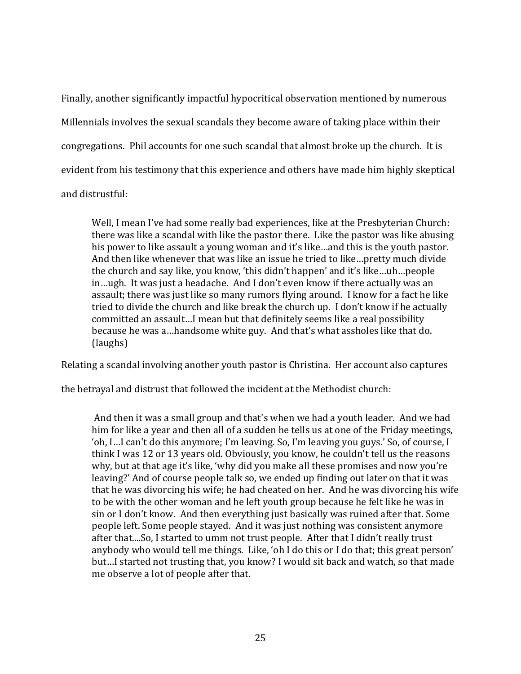Finally, another significantly impactful hypocritical observation mentioned by numerous Millennials involves the sexual scandals they become aware of taking place within their congregations. Phil accounts for one such scandal that almost broke up the church. It is evident from his testimony that this experience and others have made him highly skeptical and distrustful:

Well, I mean I've had some really bad experiences, like at the Presbyterian Church: there was like a scandal with like the pastor there. Like the pastor was like abusing his power to like assault a young woman and it's like…and this is the youth pastor. And then like whenever that was like an issue he tried to like…pretty much divide the church and say like, you know, 'this didn't happen' and it's like…uh…people in…ugh. It was just a headache. And I don't even know if there actually was an assault; there was just like so many rumors flying around. I know for a fact he like tried to divide the church and like break the church up. I don't know if he actually committed an assault…I mean but that definitely seems like a real possibility because he was a…handsome white guy. And that's what assholes like that do. (laughs)

Relating a scandal involving another youth pastor is Christina. Her account also captures

the betrayal and distrust that followed the incident at the Methodist church:

And then it was a small group and that's when we had a youth leader. And we had him for like a year and then all of a sudden he tells us at one of the Friday meetings, 'oh, I…I can't do this anymore; I'm leaving. So, I'm leaving you guys.' So, of course, I think I was 12 or 13 years old. Obviously, you know, he couldn't tell us the reasons why, but at that age it's like, 'why did you make all these promises and now you're leaving?' And of course people talk so, we ended up finding out later on that it was that he was divorcing his wife; he had cheated on her. And he was divorcing his wife to be with the other woman and he left youth group because he felt like he was in sin or I don't know. And then everything just basically was ruined after that. Some people left. Some people stayed. And it was just nothing was consistent anymore after that....So, I started to umm not trust people. After that I didn't really trust anybody who would tell me things. Like, 'oh I do this or I do that; this great person' but…I started not trusting that, you know? I would sit back and watch, so that made me observe a lot of people after that.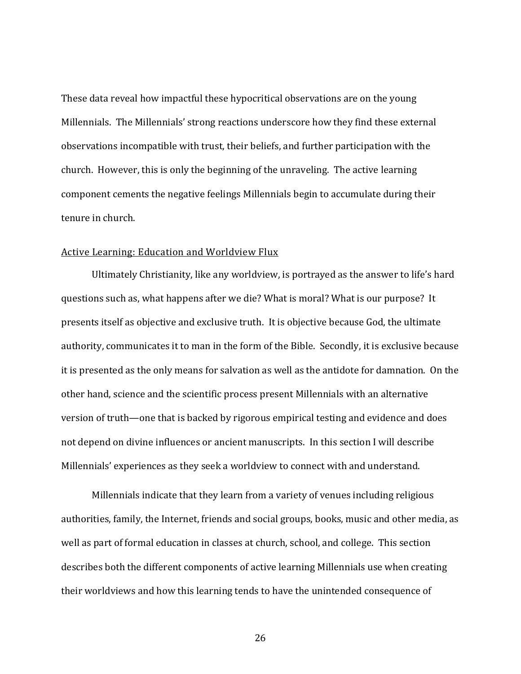These data reveal how impactful these hypocritical observations are on the young Millennials. The Millennials' strong reactions underscore how they find these external observations incompatible with trust, their beliefs, and further participation with the church. However, this is only the beginning of the unraveling. The active learning component cements the negative feelings Millennials begin to accumulate during their tenure in church.

#### <span id="page-32-0"></span>Active Learning: Education and Worldview Flux

Ultimately Christianity, like any worldview, is portrayed as the answer to life's hard questions such as, what happens after we die? What is moral? What is our purpose? It presents itself as objective and exclusive truth. It is objective because God, the ultimate authority, communicates it to man in the form of the Bible. Secondly, it is exclusive because it is presented as the only means for salvation as well as the antidote for damnation. On the other hand, science and the scientific process present Millennials with an alternative version of truth—one that is backed by rigorous empirical testing and evidence and does not depend on divine influences or ancient manuscripts. In this section I will describe Millennials' experiences as they seek a worldview to connect with and understand.

Millennials indicate that they learn from a variety of venues including religious authorities, family, the Internet, friends and social groups, books, music and other media, as well as part of formal education in classes at church, school, and college. This section describes both the different components of active learning Millennials use when creating their worldviews and how this learning tends to have the unintended consequence of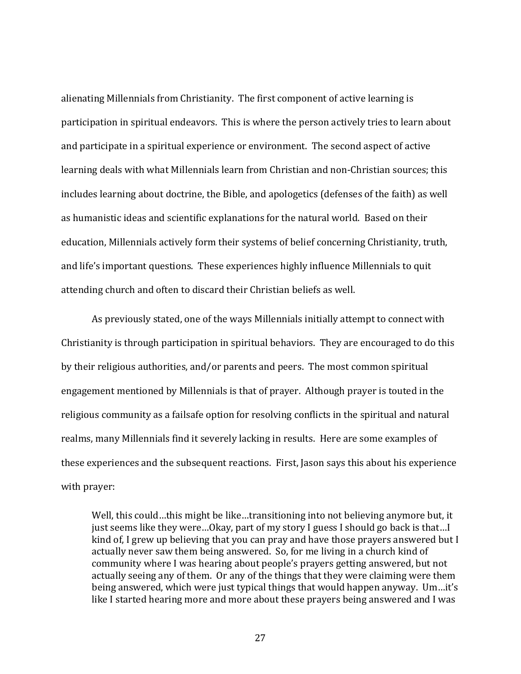alienating Millennials from Christianity. The first component of active learning is participation in spiritual endeavors. This is where the person actively tries to learn about and participate in a spiritual experience or environment. The second aspect of active learning deals with what Millennials learn from Christian and non-Christian sources; this includes learning about doctrine, the Bible, and apologetics (defenses of the faith) as well as humanistic ideas and scientific explanations for the natural world. Based on their education, Millennials actively form their systems of belief concerning Christianity, truth, and life's important questions. These experiences highly influence Millennials to quit attending church and often to discard their Christian beliefs as well.

As previously stated, one of the ways Millennials initially attempt to connect with Christianity is through participation in spiritual behaviors. They are encouraged to do this by their religious authorities, and/or parents and peers. The most common spiritual engagement mentioned by Millennials is that of prayer. Although prayer is touted in the religious community as a failsafe option for resolving conflicts in the spiritual and natural realms, many Millennials find it severely lacking in results. Here are some examples of these experiences and the subsequent reactions. First, Jason says this about his experience with prayer:

Well, this could…this might be like…transitioning into not believing anymore but, it just seems like they were…Okay, part of my story I guess I should go back is that…I kind of, I grew up believing that you can pray and have those prayers answered but I actually never saw them being answered. So, for me living in a church kind of community where I was hearing about people's prayers getting answered, but not actually seeing any of them. Or any of the things that they were claiming were them being answered, which were just typical things that would happen anyway. Um…it's like I started hearing more and more about these prayers being answered and I was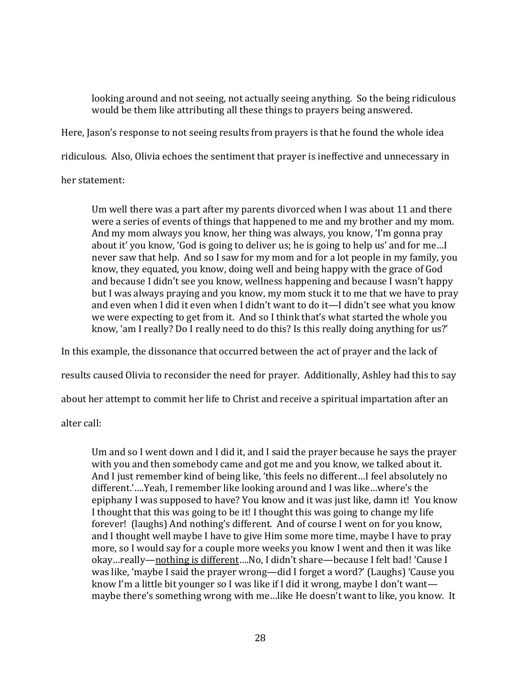looking around and not seeing, not actually seeing anything. So the being ridiculous would be them like attributing all these things to prayers being answered.

Here, Jason's response to not seeing results from prayers is that he found the whole idea

ridiculous. Also, Olivia echoes the sentiment that prayer is ineffective and unnecessary in

her statement:

Um well there was a part after my parents divorced when I was about 11 and there were a series of events of things that happened to me and my brother and my mom. And my mom always you know, her thing was always, you know, 'I'm gonna pray about it' you know, 'God is going to deliver us; he is going to help us' and for me…I never saw that help. And so I saw for my mom and for a lot people in my family, you know, they equated, you know, doing well and being happy with the grace of God and because I didn't see you know, wellness happening and because I wasn't happy but I was always praying and you know, my mom stuck it to me that we have to pray and even when I did it even when I didn't want to do it—I didn't see what you know we were expecting to get from it. And so I think that's what started the whole you know, 'am I really? Do I really need to do this? Is this really doing anything for us?'

In this example, the dissonance that occurred between the act of prayer and the lack of

results caused Olivia to reconsider the need for prayer. Additionally, Ashley had this to say

about her attempt to commit her life to Christ and receive a spiritual impartation after an

alter call:

Um and so I went down and I did it, and I said the prayer because he says the prayer with you and then somebody came and got me and you know, we talked about it. And I just remember kind of being like, 'this feels no different…I feel absolutely no different.'….Yeah, I remember like looking around and I was like…where's the epiphany I was supposed to have? You know and it was just like, damn it! You know I thought that this was going to be it! I thought this was going to change my life forever! (laughs) And nothing's different. And of course I went on for you know, and I thought well maybe I have to give Him some more time, maybe I have to pray more, so I would say for a couple more weeks you know I went and then it was like okay…really—nothing is different….No, I didn't share—because I felt bad! 'Cause I was like, 'maybe I said the prayer wrong—did I forget a word?' (Laughs) 'Cause you know I'm a little bit younger so I was like if I did it wrong, maybe I don't want maybe there's something wrong with me…like He doesn't want to like, you know. It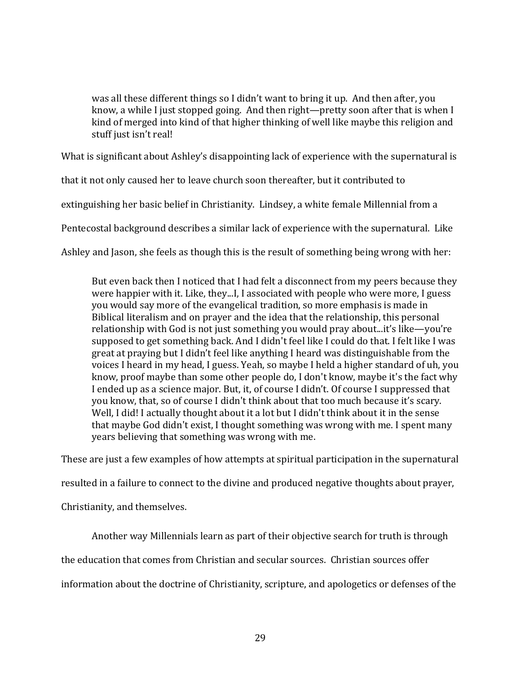was all these different things so I didn't want to bring it up. And then after, you know, a while I just stopped going. And then right—pretty soon after that is when I kind of merged into kind of that higher thinking of well like maybe this religion and stuff just isn't real!

What is significant about Ashley's disappointing lack of experience with the supernatural is

that it not only caused her to leave church soon thereafter, but it contributed to

extinguishing her basic belief in Christianity. Lindsey, a white female Millennial from a

Pentecostal background describes a similar lack of experience with the supernatural. Like

Ashley and Jason, she feels as though this is the result of something being wrong with her:

But even back then I noticed that I had felt a disconnect from my peers because they were happier with it. Like, they...I, I associated with people who were more, I guess you would say more of the evangelical tradition, so more emphasis is made in Biblical literalism and on prayer and the idea that the relationship, this personal relationship with God is not just something you would pray about...it's like—you're supposed to get something back. And I didn't feel like I could do that. I felt like I was great at praying but I didn't feel like anything I heard was distinguishable from the voices I heard in my head, I guess. Yeah, so maybe I held a higher standard of uh, you know, proof maybe than some other people do, I don't know, maybe it's the fact why I ended up as a science major. But, it, of course I didn't. Of course I suppressed that you know, that, so of course I didn't think about that too much because it's scary. Well, I did! I actually thought about it a lot but I didn't think about it in the sense that maybe God didn't exist, I thought something was wrong with me. I spent many years believing that something was wrong with me.

These are just a few examples of how attempts at spiritual participation in the supernatural

resulted in a failure to connect to the divine and produced negative thoughts about prayer,

Christianity, and themselves.

Another way Millennials learn as part of their objective search for truth is through

the education that comes from Christian and secular sources. Christian sources offer

information about the doctrine of Christianity, scripture, and apologetics or defenses of the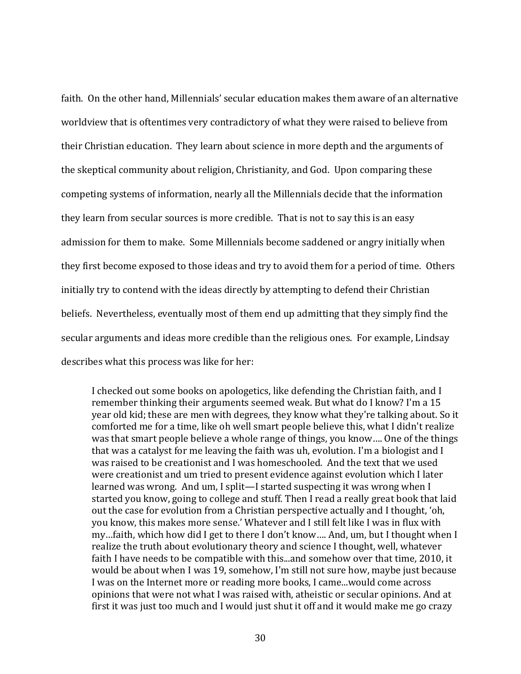faith. On the other hand, Millennials' secular education makes them aware of an alternative worldview that is oftentimes very contradictory of what they were raised to believe from their Christian education. They learn about science in more depth and the arguments of the skeptical community about religion, Christianity, and God. Upon comparing these competing systems of information, nearly all the Millennials decide that the information they learn from secular sources is more credible. That is not to say this is an easy admission for them to make. Some Millennials become saddened or angry initially when they first become exposed to those ideas and try to avoid them for a period of time. Others initially try to contend with the ideas directly by attempting to defend their Christian beliefs. Nevertheless, eventually most of them end up admitting that they simply find the secular arguments and ideas more credible than the religious ones. For example, Lindsay describes what this process was like for her:

I checked out some books on apologetics, like defending the Christian faith, and I remember thinking their arguments seemed weak. But what do I know? I'm a 15 year old kid; these are men with degrees, they know what they're talking about. So it comforted me for a time, like oh well smart people believe this, what I didn't realize was that smart people believe a whole range of things, you know…. One of the things that was a catalyst for me leaving the faith was uh, evolution. I'm a biologist and I was raised to be creationist and I was homeschooled. And the text that we used were creationist and um tried to present evidence against evolution which I later learned was wrong. And um, I split—I started suspecting it was wrong when I started you know, going to college and stuff. Then I read a really great book that laid out the case for evolution from a Christian perspective actually and I thought, 'oh, you know, this makes more sense.' Whatever and I still felt like I was in flux with my…faith, which how did I get to there I don't know…. And, um, but I thought when I realize the truth about evolutionary theory and science I thought, well, whatever faith I have needs to be compatible with this...and somehow over that time, 2010, it would be about when I was 19, somehow, I'm still not sure how, maybe just because I was on the Internet more or reading more books, I came...would come across opinions that were not what I was raised with, atheistic or secular opinions. And at first it was just too much and I would just shut it off and it would make me go crazy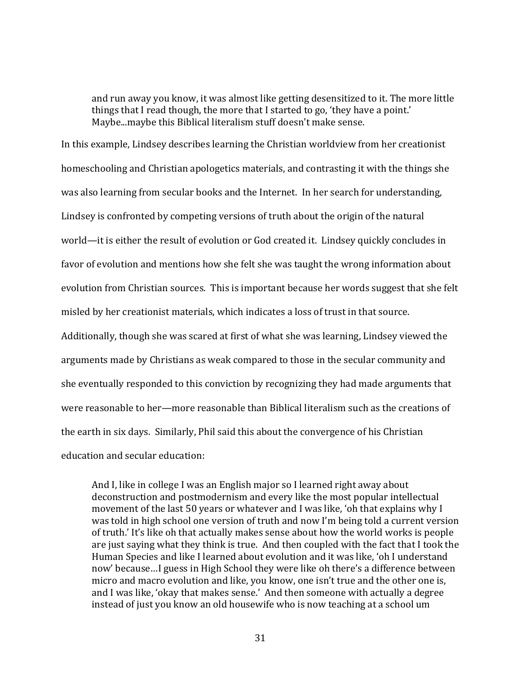and run away you know, it was almost like getting desensitized to it. The more little things that I read though, the more that I started to go, 'they have a point.' Maybe...maybe this Biblical literalism stuff doesn't make sense.

In this example, Lindsey describes learning the Christian worldview from her creationist homeschooling and Christian apologetics materials, and contrasting it with the things she was also learning from secular books and the Internet. In her search for understanding, Lindsey is confronted by competing versions of truth about the origin of the natural world—it is either the result of evolution or God created it. Lindsey quickly concludes in favor of evolution and mentions how she felt she was taught the wrong information about evolution from Christian sources. This is important because her words suggest that she felt misled by her creationist materials, which indicates a loss of trust in that source. Additionally, though she was scared at first of what she was learning, Lindsey viewed the

arguments made by Christians as weak compared to those in the secular community and she eventually responded to this conviction by recognizing they had made arguments that were reasonable to her—more reasonable than Biblical literalism such as the creations of the earth in six days. Similarly, Phil said this about the convergence of his Christian education and secular education:

And I, like in college I was an English major so I learned right away about deconstruction and postmodernism and every like the most popular intellectual movement of the last 50 years or whatever and I was like, 'oh that explains why I was told in high school one version of truth and now I'm being told a current version of truth.' It's like oh that actually makes sense about how the world works is people are just saying what they think is true. And then coupled with the fact that I took the Human Species and like I learned about evolution and it was like, 'oh I understand now' because…I guess in High School they were like oh there's a difference between micro and macro evolution and like, you know, one isn't true and the other one is, and I was like, 'okay that makes sense.' And then someone with actually a degree instead of just you know an old housewife who is now teaching at a school um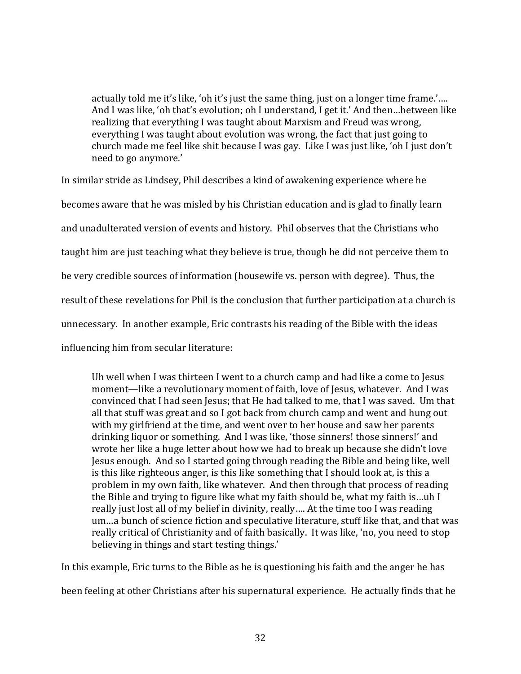actually told me it's like, 'oh it's just the same thing, just on a longer time frame.'…. And I was like, 'oh that's evolution; oh I understand, I get it.' And then…between like realizing that everything I was taught about Marxism and Freud was wrong, everything I was taught about evolution was wrong, the fact that just going to church made me feel like shit because I was gay. Like I was just like, 'oh I just don't need to go anymore.'

In similar stride as Lindsey, Phil describes a kind of awakening experience where he becomes aware that he was misled by his Christian education and is glad to finally learn and unadulterated version of events and history. Phil observes that the Christians who taught him are just teaching what they believe is true, though he did not perceive them to be very credible sources of information (housewife vs. person with degree). Thus, the result of these revelations for Phil is the conclusion that further participation at a church is unnecessary. In another example, Eric contrasts his reading of the Bible with the ideas influencing him from secular literature:

Uh well when I was thirteen I went to a church camp and had like a come to Jesus moment—like a revolutionary moment of faith, love of Jesus, whatever. And I was convinced that I had seen Jesus; that He had talked to me, that I was saved. Um that all that stuff was great and so I got back from church camp and went and hung out with my girlfriend at the time, and went over to her house and saw her parents drinking liquor or something. And I was like, 'those sinners! those sinners!' and wrote her like a huge letter about how we had to break up because she didn't love Jesus enough. And so I started going through reading the Bible and being like, well is this like righteous anger, is this like something that I should look at, is this a problem in my own faith, like whatever. And then through that process of reading the Bible and trying to figure like what my faith should be, what my faith is…uh I really just lost all of my belief in divinity, really…. At the time too I was reading um…a bunch of science fiction and speculative literature, stuff like that, and that was really critical of Christianity and of faith basically. It was like, 'no, you need to stop believing in things and start testing things.'

In this example, Eric turns to the Bible as he is questioning his faith and the anger he has

been feeling at other Christians after his supernatural experience. He actually finds that he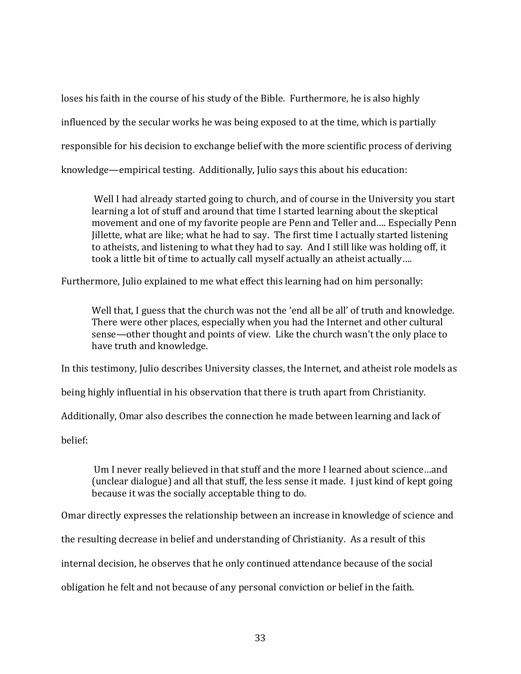loses his faith in the course of his study of the Bible. Furthermore, he is also highly influenced by the secular works he was being exposed to at the time, which is partially responsible for his decision to exchange belief with the more scientific process of deriving knowledge—empirical testing. Additionally, Julio says this about his education:

Well I had already started going to church, and of course in the University you start learning a lot of stuff and around that time I started learning about the skeptical movement and one of my favorite people are Penn and Teller and…. Especially Penn Jillette, what are like; what he had to say. The first time I actually started listening to atheists, and listening to what they had to say. And I still like was holding off, it took a little bit of time to actually call myself actually an atheist actually….

Furthermore, Julio explained to me what effect this learning had on him personally:

Well that, I guess that the church was not the 'end all be all' of truth and knowledge. There were other places, especially when you had the Internet and other cultural sense—other thought and points of view. Like the church wasn't the only place to have truth and knowledge.

In this testimony, Julio describes University classes, the Internet, and atheist role models as

being highly influential in his observation that there is truth apart from Christianity.

Additionally, Omar also describes the connection he made between learning and lack of

belief:

Um I never really believed in that stuff and the more I learned about science…and (unclear dialogue) and all that stuff, the less sense it made. I just kind of kept going because it was the socially acceptable thing to do.

Omar directly expresses the relationship between an increase in knowledge of science and

the resulting decrease in belief and understanding of Christianity. As a result of this

internal decision, he observes that he only continued attendance because of the social

obligation he felt and not because of any personal conviction or belief in the faith.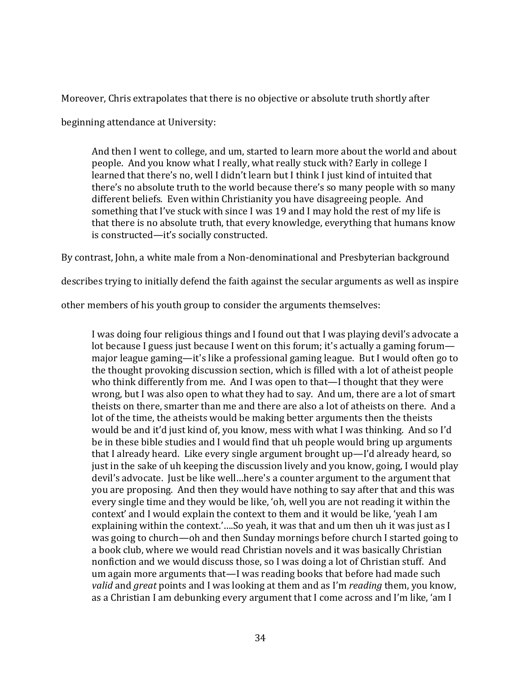Moreover, Chris extrapolates that there is no objective or absolute truth shortly after

beginning attendance at University:

And then I went to college, and um, started to learn more about the world and about people. And you know what I really, what really stuck with? Early in college I learned that there's no, well I didn't learn but I think I just kind of intuited that there's no absolute truth to the world because there's so many people with so many different beliefs. Even within Christianity you have disagreeing people. And something that I've stuck with since I was 19 and I may hold the rest of my life is that there is no absolute truth, that every knowledge, everything that humans know is constructed—it's socially constructed.

By contrast, John, a white male from a Non-denominational and Presbyterian background

describes trying to initially defend the faith against the secular arguments as well as inspire

other members of his youth group to consider the arguments themselves:

I was doing four religious things and I found out that I was playing devil's advocate a lot because I guess just because I went on this forum; it's actually a gaming forum major league gaming—it's like a professional gaming league. But I would often go to the thought provoking discussion section, which is filled with a lot of atheist people who think differently from me. And I was open to that—I thought that they were wrong, but I was also open to what they had to say. And um, there are a lot of smart theists on there, smarter than me and there are also a lot of atheists on there. And a lot of the time, the atheists would be making better arguments then the theists would be and it'd just kind of, you know, mess with what I was thinking. And so I'd be in these bible studies and I would find that uh people would bring up arguments that I already heard. Like every single argument brought up—I'd already heard, so just in the sake of uh keeping the discussion lively and you know, going, I would play devil's advocate. Just be like well…here's a counter argument to the argument that you are proposing. And then they would have nothing to say after that and this was every single time and they would be like, 'oh, well you are not reading it within the context' and I would explain the context to them and it would be like, 'yeah I am explaining within the context.'….So yeah, it was that and um then uh it was just as I was going to church—oh and then Sunday mornings before church I started going to a book club, where we would read Christian novels and it was basically Christian nonfiction and we would discuss those, so I was doing a lot of Christian stuff. And um again more arguments that—I was reading books that before had made such *valid* and *great* points and I was looking at them and as I'm *reading* them, you know, as a Christian I am debunking every argument that I come across and I'm like, 'am I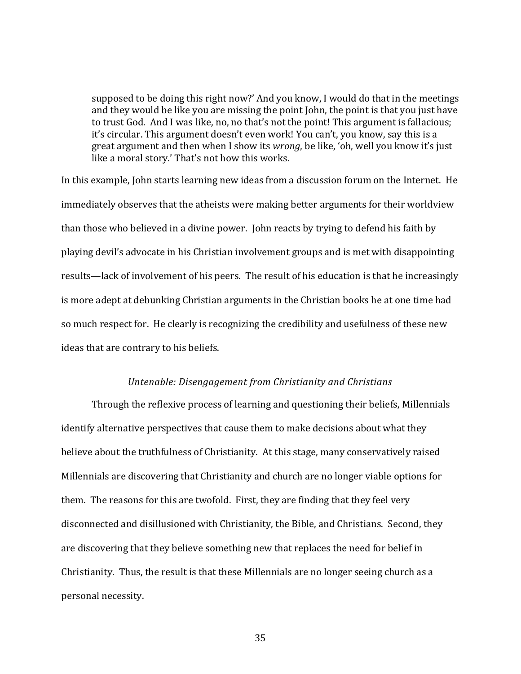supposed to be doing this right now?' And you know, I would do that in the meetings and they would be like you are missing the point John, the point is that you just have to trust God. And I was like, no, no that's not the point! This argument is fallacious; it's circular. This argument doesn't even work! You can't, you know, say this is a great argument and then when I show its *wrong*, be like, 'oh, well you know it's just like a moral story.' That's not how this works.

In this example, John starts learning new ideas from a discussion forum on the Internet. He immediately observes that the atheists were making better arguments for their worldview than those who believed in a divine power. John reacts by trying to defend his faith by playing devil's advocate in his Christian involvement groups and is met with disappointing results—lack of involvement of his peers. The result of his education is that he increasingly is more adept at debunking Christian arguments in the Christian books he at one time had so much respect for. He clearly is recognizing the credibility and usefulness of these new ideas that are contrary to his beliefs.

### *Untenable: Disengagement from Christianity and Christians*

Through the reflexive process of learning and questioning their beliefs, Millennials identify alternative perspectives that cause them to make decisions about what they believe about the truthfulness of Christianity. At this stage, many conservatively raised Millennials are discovering that Christianity and church are no longer viable options for them. The reasons for this are twofold. First, they are finding that they feel very disconnected and disillusioned with Christianity, the Bible, and Christians. Second, they are discovering that they believe something new that replaces the need for belief in Christianity. Thus, the result is that these Millennials are no longer seeing church as a personal necessity.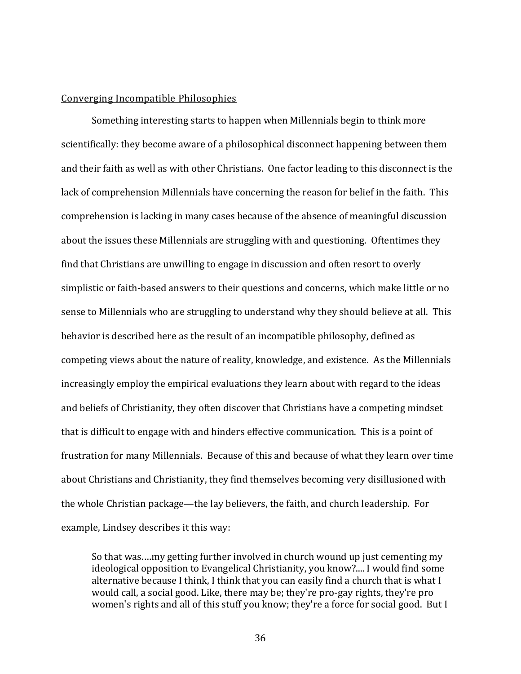### Converging Incompatible Philosophies

Something interesting starts to happen when Millennials begin to think more scientifically: they become aware of a philosophical disconnect happening between them and their faith as well as with other Christians. One factor leading to this disconnect is the lack of comprehension Millennials have concerning the reason for belief in the faith. This comprehension is lacking in many cases because of the absence of meaningful discussion about the issues these Millennials are struggling with and questioning. Oftentimes they find that Christians are unwilling to engage in discussion and often resort to overly simplistic or faith-based answers to their questions and concerns, which make little or no sense to Millennials who are struggling to understand why they should believe at all. This behavior is described here as the result of an incompatible philosophy, defined as competing views about the nature of reality, knowledge, and existence. As the Millennials increasingly employ the empirical evaluations they learn about with regard to the ideas and beliefs of Christianity, they often discover that Christians have a competing mindset that is difficult to engage with and hinders effective communication. This is a point of frustration for many Millennials. Because of this and because of what they learn over time about Christians and Christianity, they find themselves becoming very disillusioned with the whole Christian package—the lay believers, the faith, and church leadership. For example, Lindsey describes it this way:

So that was.…my getting further involved in church wound up just cementing my ideological opposition to Evangelical Christianity, you know?.... I would find some alternative because I think, I think that you can easily find a church that is what I would call, a social good. Like, there may be; they're pro-gay rights, they're pro women's rights and all of this stuff you know; they're a force for social good. But I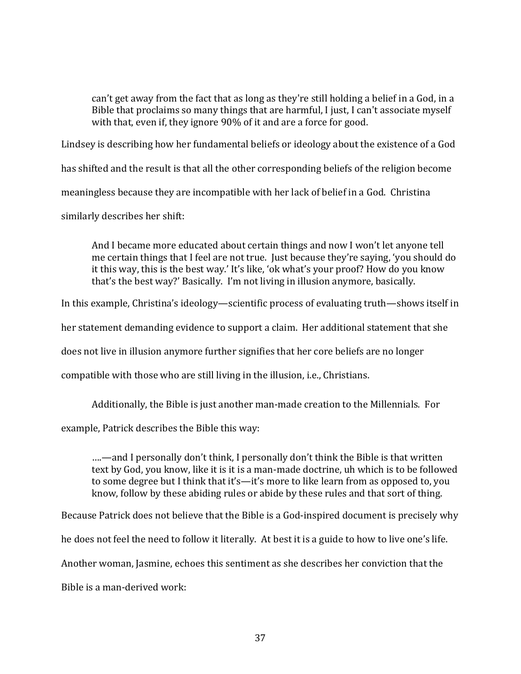can't get away from the fact that as long as they're still holding a belief in a God, in a Bible that proclaims so many things that are harmful, I just, I can't associate myself with that, even if, they ignore 90% of it and are a force for good.

Lindsey is describing how her fundamental beliefs or ideology about the existence of a God

has shifted and the result is that all the other corresponding beliefs of the religion become

meaningless because they are incompatible with her lack of belief in a God. Christina

similarly describes her shift:

And I became more educated about certain things and now I won't let anyone tell me certain things that I feel are not true. Just because they're saying, 'you should do it this way, this is the best way.' It's like, 'ok what's your proof? How do you know that's the best way?' Basically. I'm not living in illusion anymore, basically.

In this example, Christina's ideology—scientific process of evaluating truth—shows itself in

her statement demanding evidence to support a claim. Her additional statement that she

does not live in illusion anymore further signifies that her core beliefs are no longer

compatible with those who are still living in the illusion, i.e., Christians.

Additionally, the Bible is just another man-made creation to the Millennials. For

example, Patrick describes the Bible this way:

….—and I personally don't think, I personally don't think the Bible is that written text by God, you know, like it is it is a man-made doctrine, uh which is to be followed to some degree but I think that it's—it's more to like learn from as opposed to, you know, follow by these abiding rules or abide by these rules and that sort of thing.

Because Patrick does not believe that the Bible is a God-inspired document is precisely why

he does not feel the need to follow it literally. At best it is a guide to how to live one's life.

Another woman, Jasmine, echoes this sentiment as she describes her conviction that the

Bible is a man-derived work: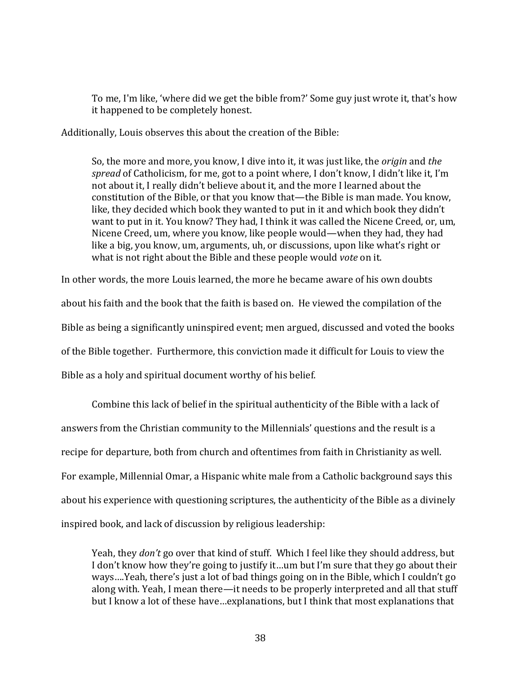To me, I'm like, 'where did we get the bible from?' Some guy just wrote it, that's how it happened to be completely honest.

Additionally, Louis observes this about the creation of the Bible:

So, the more and more, you know, I dive into it, it was just like, the *origin* and *the spread* of Catholicism, for me, got to a point where, I don't know, I didn't like it, I'm not about it, I really didn't believe about it, and the more I learned about the constitution of the Bible, or that you know that—the Bible is man made. You know, like, they decided which book they wanted to put in it and which book they didn't want to put in it. You know? They had, I think it was called the Nicene Creed, or, um, Nicene Creed, um, where you know, like people would—when they had, they had like a big, you know, um, arguments, uh, or discussions, upon like what's right or what is not right about the Bible and these people would *vote* on it.

In other words, the more Louis learned, the more he became aware of his own doubts about his faith and the book that the faith is based on. He viewed the compilation of the Bible as being a significantly uninspired event; men argued, discussed and voted the books of the Bible together. Furthermore, this conviction made it difficult for Louis to view the Bible as a holy and spiritual document worthy of his belief.

Combine this lack of belief in the spiritual authenticity of the Bible with a lack of answers from the Christian community to the Millennials' questions and the result is a recipe for departure, both from church and oftentimes from faith in Christianity as well. For example, Millennial Omar, a Hispanic white male from a Catholic background says this about his experience with questioning scriptures, the authenticity of the Bible as a divinely inspired book, and lack of discussion by religious leadership:

Yeah, they *don't* go over that kind of stuff. Which I feel like they should address, but I don't know how they're going to justify it…um but I'm sure that they go about their ways….Yeah, there's just a lot of bad things going on in the Bible, which I couldn't go along with. Yeah, I mean there—it needs to be properly interpreted and all that stuff but I know a lot of these have…explanations, but I think that most explanations that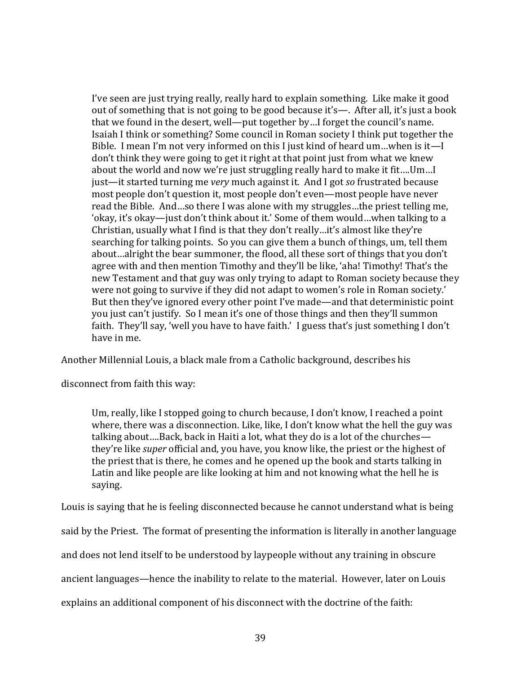I've seen are just trying really, really hard to explain something. Like make it good out of something that is not going to be good because it's—. After all, it's just a book that we found in the desert, well—put together by…I forget the council's name. Isaiah I think or something? Some council in Roman society I think put together the Bible. I mean I'm not very informed on this I just kind of heard um…when is it—I don't think they were going to get it right at that point just from what we knew about the world and now we're just struggling really hard to make it fit….Um…I just—it started turning me *very* much against it. And I got *so* frustrated because most people don't question it, most people don't even—most people have never read the Bible. And…so there I was alone with my struggles…the priest telling me, 'okay, it's okay—just don't think about it.' Some of them would…when talking to a Christian, usually what I find is that they don't really…it's almost like they're searching for talking points. So you can give them a bunch of things, um, tell them about…alright the bear summoner, the flood, all these sort of things that you don't agree with and then mention Timothy and they'll be like, 'aha! Timothy! That's the new Testament and that guy was only trying to adapt to Roman society because they were not going to survive if they did not adapt to women's role in Roman society.' But then they've ignored every other point I've made—and that deterministic point you just can't justify. So I mean it's one of those things and then they'll summon faith. They'll say, 'well you have to have faith.' I guess that's just something I don't have in me.

Another Millennial Louis, a black male from a Catholic background, describes his

disconnect from faith this way:

Um, really, like I stopped going to church because, I don't know, I reached a point where, there was a disconnection. Like, like, I don't know what the hell the guy was talking about….Back, back in Haiti a lot, what they do is a lot of the churches they're like *super* official and, you have, you know like, the priest or the highest of the priest that is there, he comes and he opened up the book and starts talking in Latin and like people are like looking at him and not knowing what the hell he is saying.

Louis is saying that he is feeling disconnected because he cannot understand what is being

said by the Priest. The format of presenting the information is literally in another language

and does not lend itself to be understood by laypeople without any training in obscure

ancient languages—hence the inability to relate to the material. However, later on Louis

explains an additional component of his disconnect with the doctrine of the faith: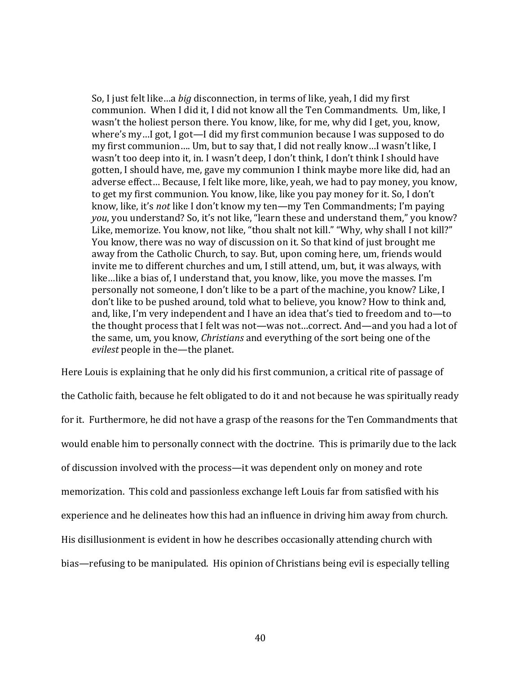So, I just felt like…a *big* disconnection, in terms of like, yeah, I did my first communion. When I did it, I did not know all the Ten Commandments. Um, like, I wasn't the holiest person there. You know, like, for me, why did I get, you, know, where's my…I got, I got—I did my first communion because I was supposed to do my first communion…. Um, but to say that, I did not really know…I wasn't like, I wasn't too deep into it, in. I wasn't deep, I don't think, I don't think I should have gotten, I should have, me, gave my communion I think maybe more like did, had an adverse effect… Because, I felt like more, like, yeah, we had to pay money, you know, to get my first communion. You know, like, like you pay money for it. So, I don't know, like, it's *not* like I don't know my ten—my Ten Commandments; I'm paying *you*, you understand? So, it's not like, "learn these and understand them," you know? Like, memorize. You know, not like, "thou shalt not kill." "Why, why shall I not kill?" You know, there was no way of discussion on it. So that kind of just brought me away from the Catholic Church, to say. But, upon coming here, um, friends would invite me to different churches and um, I still attend, um, but, it was always, with like…like a bias of, I understand that, you know, like, you move the masses. I'm personally not someone, I don't like to be a part of the machine, you know? Like, I don't like to be pushed around, told what to believe, you know? How to think and, and, like, I'm very independent and I have an idea that's tied to freedom and to—to the thought process that I felt was not—was not…correct. And—and you had a lot of the same, um, you know, *Christians* and everything of the sort being one of the *evilest* people in the—the planet.

Here Louis is explaining that he only did his first communion, a critical rite of passage of the Catholic faith, because he felt obligated to do it and not because he was spiritually ready for it. Furthermore, he did not have a grasp of the reasons for the Ten Commandments that would enable him to personally connect with the doctrine. This is primarily due to the lack of discussion involved with the process—it was dependent only on money and rote memorization. This cold and passionless exchange left Louis far from satisfied with his experience and he delineates how this had an influence in driving him away from church. His disillusionment is evident in how he describes occasionally attending church with bias—refusing to be manipulated. His opinion of Christians being evil is especially telling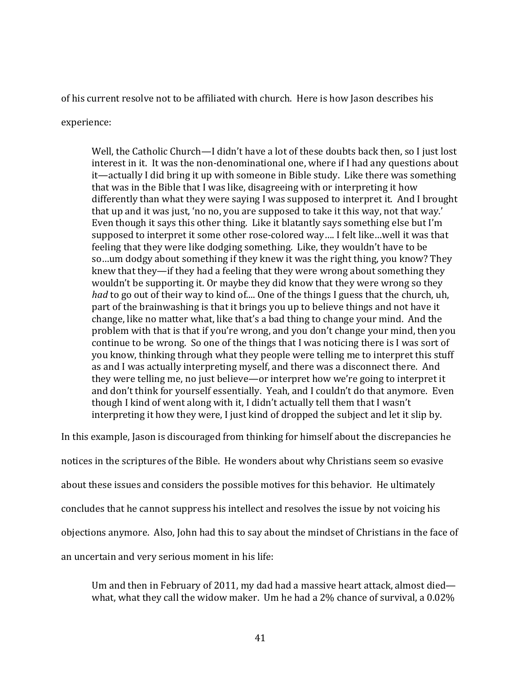of his current resolve not to be affiliated with church. Here is how Jason describes his

experience:

Well, the Catholic Church—I didn't have a lot of these doubts back then, so I just lost interest in it. It was the non-denominational one, where if I had any questions about it—actually I did bring it up with someone in Bible study. Like there was something that was in the Bible that I was like, disagreeing with or interpreting it how differently than what they were saying I was supposed to interpret it. And I brought that up and it was just, 'no no, you are supposed to take it this way, not that way.' Even though it says this other thing. Like it blatantly says something else but I'm supposed to interpret it some other rose-colored way…. I felt like…well it was that feeling that they were like dodging something. Like, they wouldn't have to be so…um dodgy about something if they knew it was the right thing, you know? They knew that they—if they had a feeling that they were wrong about something they wouldn't be supporting it. Or maybe they did know that they were wrong so they *had* to go out of their way to kind of.... One of the things I guess that the church, uh, part of the brainwashing is that it brings you up to believe things and not have it change, like no matter what, like that's a bad thing to change your mind. And the problem with that is that if you're wrong, and you don't change your mind, then you continue to be wrong. So one of the things that I was noticing there is I was sort of you know, thinking through what they people were telling me to interpret this stuff as and I was actually interpreting myself, and there was a disconnect there. And they were telling me, no just believe—or interpret how we're going to interpret it and don't think for yourself essentially. Yeah, and I couldn't do that anymore. Even though I kind of went along with it, I didn't actually tell them that I wasn't interpreting it how they were, I just kind of dropped the subject and let it slip by.

In this example, Jason is discouraged from thinking for himself about the discrepancies he notices in the scriptures of the Bible. He wonders about why Christians seem so evasive about these issues and considers the possible motives for this behavior. He ultimately concludes that he cannot suppress his intellect and resolves the issue by not voicing his objections anymore. Also, John had this to say about the mindset of Christians in the face of an uncertain and very serious moment in his life:

Um and then in February of 2011, my dad had a massive heart attack, almost died what, what they call the widow maker. Um he had a 2% chance of survival, a 0.02%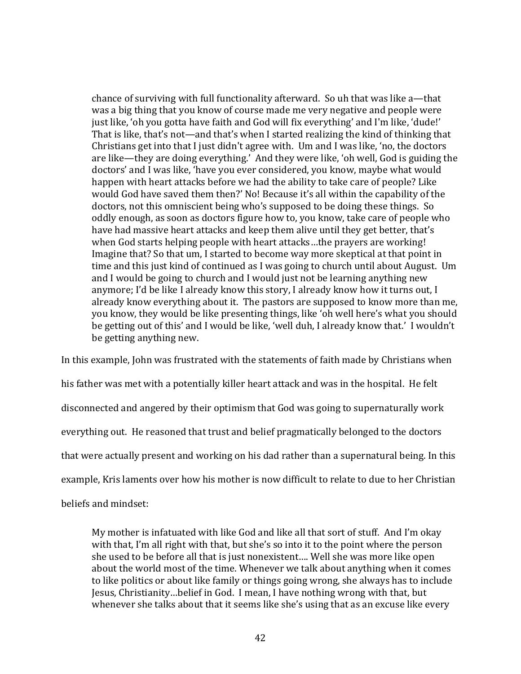chance of surviving with full functionality afterward. So uh that was like a—that was a big thing that you know of course made me very negative and people were just like, 'oh you gotta have faith and God will fix everything' and I'm like, 'dude!' That is like, that's not—and that's when I started realizing the kind of thinking that Christians get into that I just didn't agree with. Um and I was like, 'no, the doctors are like—they are doing everything.' And they were like, 'oh well, God is guiding the doctors' and I was like, 'have you ever considered, you know, maybe what would happen with heart attacks before we had the ability to take care of people? Like would God have saved them then?' No! Because it's all within the capability of the doctors, not this omniscient being who's supposed to be doing these things. So oddly enough, as soon as doctors figure how to, you know, take care of people who have had massive heart attacks and keep them alive until they get better, that's when God starts helping people with heart attacks…the prayers are working! Imagine that? So that um, I started to become way more skeptical at that point in time and this just kind of continued as I was going to church until about August. Um and I would be going to church and I would just not be learning anything new anymore; I'd be like I already know this story, I already know how it turns out, I already know everything about it. The pastors are supposed to know more than me, you know, they would be like presenting things, like 'oh well here's what you should be getting out of this' and I would be like, 'well duh, I already know that.' I wouldn't be getting anything new.

In this example, John was frustrated with the statements of faith made by Christians when his father was met with a potentially killer heart attack and was in the hospital. He felt disconnected and angered by their optimism that God was going to supernaturally work everything out. He reasoned that trust and belief pragmatically belonged to the doctors that were actually present and working on his dad rather than a supernatural being. In this example, Kris laments over how his mother is now difficult to relate to due to her Christian

beliefs and mindset:

My mother is infatuated with like God and like all that sort of stuff. And I'm okay with that, I'm all right with that, but she's so into it to the point where the person she used to be before all that is just nonexistent…. Well she was more like open about the world most of the time. Whenever we talk about anything when it comes to like politics or about like family or things going wrong, she always has to include Jesus, Christianity…belief in God. I mean, I have nothing wrong with that, but whenever she talks about that it seems like she's using that as an excuse like every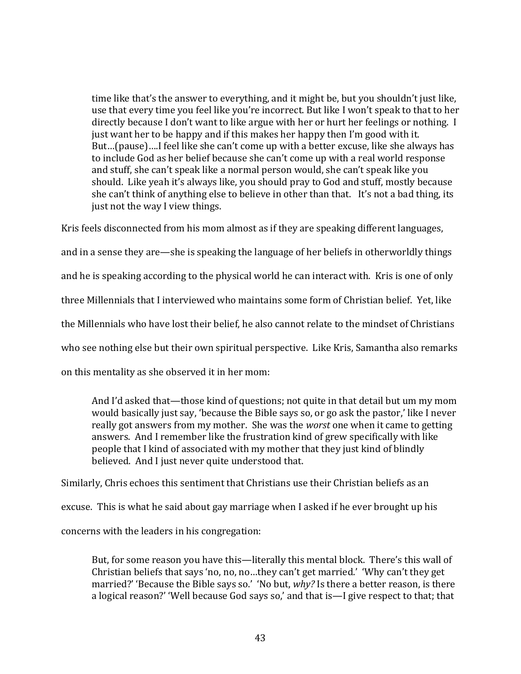time like that's the answer to everything, and it might be, but you shouldn't just like, use that every time you feel like you're incorrect. But like I won't speak to that to her directly because I don't want to like argue with her or hurt her feelings or nothing. I just want her to be happy and if this makes her happy then I'm good with it. But…(pause)….I feel like she can't come up with a better excuse, like she always has to include God as her belief because she can't come up with a real world response and stuff, she can't speak like a normal person would, she can't speak like you should. Like yeah it's always like, you should pray to God and stuff, mostly because she can't think of anything else to believe in other than that. It's not a bad thing, its just not the way I view things.

Kris feels disconnected from his mom almost as if they are speaking different languages,

and in a sense they are—she is speaking the language of her beliefs in otherworldly things and he is speaking according to the physical world he can interact with. Kris is one of only

three Millennials that I interviewed who maintains some form of Christian belief. Yet, like

the Millennials who have lost their belief, he also cannot relate to the mindset of Christians

who see nothing else but their own spiritual perspective. Like Kris, Samantha also remarks

on this mentality as she observed it in her mom:

And I'd asked that—those kind of questions; not quite in that detail but um my mom would basically just say, 'because the Bible says so, or go ask the pastor,' like I never really got answers from my mother. She was the *worst* one when it came to getting answers. And I remember like the frustration kind of grew specifically with like people that I kind of associated with my mother that they just kind of blindly believed. And I just never quite understood that.

Similarly, Chris echoes this sentiment that Christians use their Christian beliefs as an

excuse. This is what he said about gay marriage when I asked if he ever brought up his

concerns with the leaders in his congregation:

But, for some reason you have this—literally this mental block. There's this wall of Christian beliefs that says 'no, no, no…they can't get married.' 'Why can't they get married?' 'Because the Bible says so.' 'No but, *why?* Is there a better reason, is there a logical reason?' 'Well because God says so,' and that is—I give respect to that; that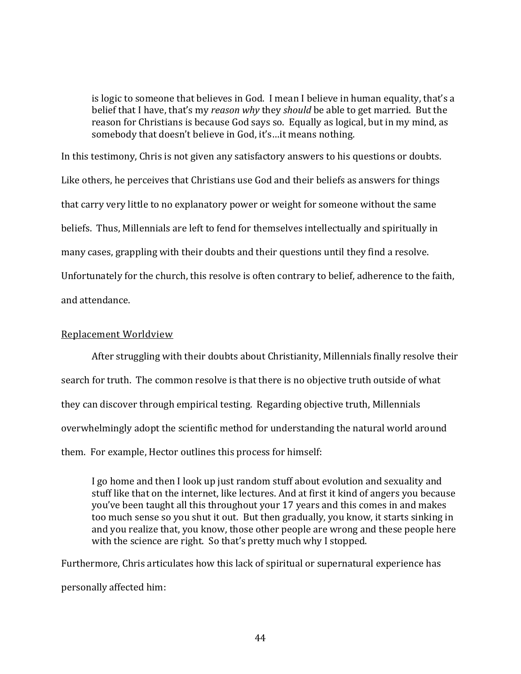is logic to someone that believes in God. I mean I believe in human equality, that's a belief that I have, that's my *reason why* they *should* be able to get married. But the reason for Christians is because God says so. Equally as logical, but in my mind, as somebody that doesn't believe in God, it's…it means nothing.

In this testimony, Chris is not given any satisfactory answers to his questions or doubts. Like others, he perceives that Christians use God and their beliefs as answers for things that carry very little to no explanatory power or weight for someone without the same beliefs. Thus, Millennials are left to fend for themselves intellectually and spiritually in many cases, grappling with their doubts and their questions until they find a resolve. Unfortunately for the church, this resolve is often contrary to belief, adherence to the faith, and attendance.

## Replacement Worldview

After struggling with their doubts about Christianity, Millennials finally resolve their search for truth. The common resolve is that there is no objective truth outside of what they can discover through empirical testing. Regarding objective truth, Millennials overwhelmingly adopt the scientific method for understanding the natural world around them. For example, Hector outlines this process for himself:

I go home and then I look up just random stuff about evolution and sexuality and stuff like that on the internet, like lectures. And at first it kind of angers you because you've been taught all this throughout your 17 years and this comes in and makes too much sense so you shut it out. But then gradually, you know, it starts sinking in and you realize that, you know, those other people are wrong and these people here with the science are right. So that's pretty much why I stopped.

Furthermore, Chris articulates how this lack of spiritual or supernatural experience has personally affected him: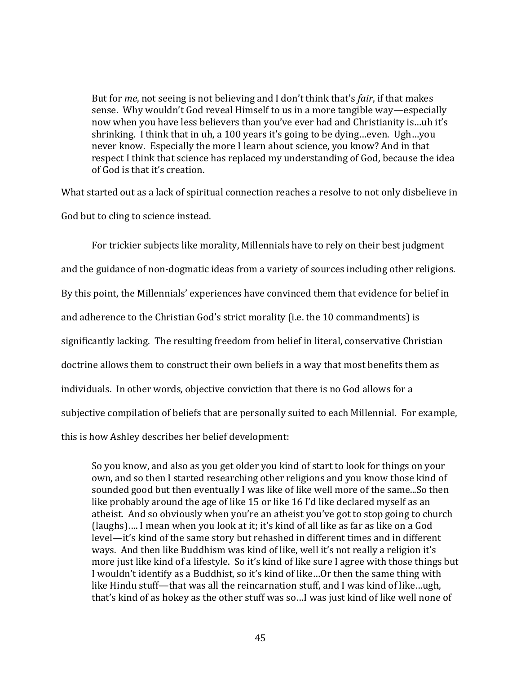But for *me*, not seeing is not believing and I don't think that's *fair*, if that makes sense. Why wouldn't God reveal Himself to us in a more tangible way—especially now when you have less believers than you've ever had and Christianity is…uh it's shrinking. I think that in uh, a 100 years it's going to be dying…even. Ugh…you never know. Especially the more I learn about science, you know? And in that respect I think that science has replaced my understanding of God, because the idea of God is that it's creation.

What started out as a lack of spiritual connection reaches a resolve to not only disbelieve in God but to cling to science instead.

For trickier subjects like morality, Millennials have to rely on their best judgment and the guidance of non-dogmatic ideas from a variety of sources including other religions. By this point, the Millennials' experiences have convinced them that evidence for belief in and adherence to the Christian God's strict morality (i.e. the 10 commandments) is significantly lacking. The resulting freedom from belief in literal, conservative Christian doctrine allows them to construct their own beliefs in a way that most benefits them as individuals. In other words, objective conviction that there is no God allows for a subjective compilation of beliefs that are personally suited to each Millennial. For example, this is how Ashley describes her belief development:

So you know, and also as you get older you kind of start to look for things on your own, and so then I started researching other religions and you know those kind of sounded good but then eventually I was like of like well more of the same...So then like probably around the age of like 15 or like 16 I'd like declared myself as an atheist. And so obviously when you're an atheist you've got to stop going to church (laughs)…. I mean when you look at it; it's kind of all like as far as like on a God level—it's kind of the same story but rehashed in different times and in different ways. And then like Buddhism was kind of like, well it's not really a religion it's more just like kind of a lifestyle. So it's kind of like sure I agree with those things but I wouldn't identify as a Buddhist, so it's kind of like…Or then the same thing with like Hindu stuff—that was all the reincarnation stuff, and I was kind of like…ugh, that's kind of as hokey as the other stuff was so…I was just kind of like well none of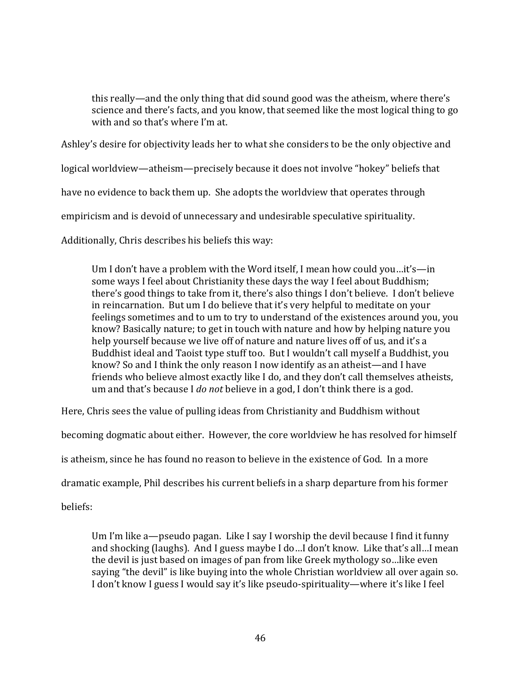this really—and the only thing that did sound good was the atheism, where there's science and there's facts, and you know, that seemed like the most logical thing to go with and so that's where I'm at.

Ashley's desire for objectivity leads her to what she considers to be the only objective and

logical worldview—atheism—precisely because it does not involve "hokey" beliefs that

have no evidence to back them up. She adopts the worldview that operates through

empiricism and is devoid of unnecessary and undesirable speculative spirituality.

Additionally, Chris describes his beliefs this way:

Um I don't have a problem with the Word itself, I mean how could you…it's—in some ways I feel about Christianity these days the way I feel about Buddhism; there's good things to take from it, there's also things I don't believe. I don't believe in reincarnation. But um I do believe that it's very helpful to meditate on your feelings sometimes and to um to try to understand of the existences around you, you know? Basically nature; to get in touch with nature and how by helping nature you help yourself because we live off of nature and nature lives off of us, and it's a Buddhist ideal and Taoist type stuff too. But I wouldn't call myself a Buddhist, you know? So and I think the only reason I now identify as an atheist—and I have friends who believe almost exactly like I do, and they don't call themselves atheists, um and that's because I *do not* believe in a god, I don't think there is a god.

Here, Chris sees the value of pulling ideas from Christianity and Buddhism without

becoming dogmatic about either. However, the core worldview he has resolved for himself

is atheism, since he has found no reason to believe in the existence of God. In a more

dramatic example, Phil describes his current beliefs in a sharp departure from his former

beliefs:

Um I'm like a—pseudo pagan. Like I say I worship the devil because I find it funny and shocking (laughs). And I guess maybe I do…I don't know. Like that's all…I mean the devil is just based on images of pan from like Greek mythology so…like even saying "the devil" is like buying into the whole Christian worldview all over again so. I don't know I guess I would say it's like pseudo-spirituality—where it's like I feel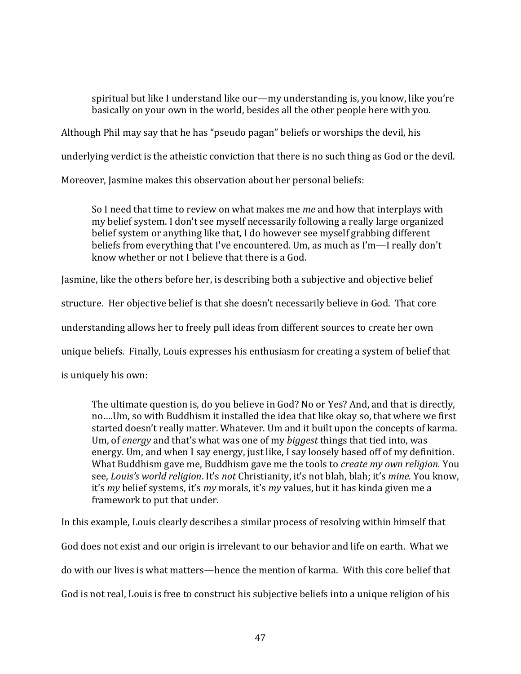spiritual but like I understand like our—my understanding is, you know, like you're basically on your own in the world, besides all the other people here with you.

Although Phil may say that he has "pseudo pagan" beliefs or worships the devil, his

underlying verdict is the atheistic conviction that there is no such thing as God or the devil.

Moreover, Jasmine makes this observation about her personal beliefs:

So I need that time to review on what makes me *me* and how that interplays with my belief system. I don't see myself necessarily following a really large organized belief system or anything like that, I do however see myself grabbing different beliefs from everything that I've encountered. Um, as much as I'm—I really don't know whether or not I believe that there is a God.

Jasmine, like the others before her, is describing both a subjective and objective belief

structure. Her objective belief is that she doesn't necessarily believe in God. That core

understanding allows her to freely pull ideas from different sources to create her own

unique beliefs. Finally, Louis expresses his enthusiasm for creating a system of belief that

is uniquely his own:

The ultimate question is, do you believe in God? No or Yes? And, and that is directly, no….Um, so with Buddhism it installed the idea that like okay so, that where we first started doesn't really matter. Whatever. Um and it built upon the concepts of karma. Um, of *energy* and that's what was one of my *biggest* things that tied into, was energy. Um, and when I say energy, just like, I say loosely based off of my definition. What Buddhism gave me, Buddhism gave me the tools to *create my own religion.* You see, *Louis's world religion*. It's *not* Christianity, it's not blah, blah; it's *mine.* You know, it's *my* belief systems, it's *my* morals, it's *my* values, but it has kinda given me a framework to put that under.

In this example, Louis clearly describes a similar process of resolving within himself that

God does not exist and our origin is irrelevant to our behavior and life on earth. What we

do with our lives is what matters—hence the mention of karma. With this core belief that

God is not real, Louis is free to construct his subjective beliefs into a unique religion of his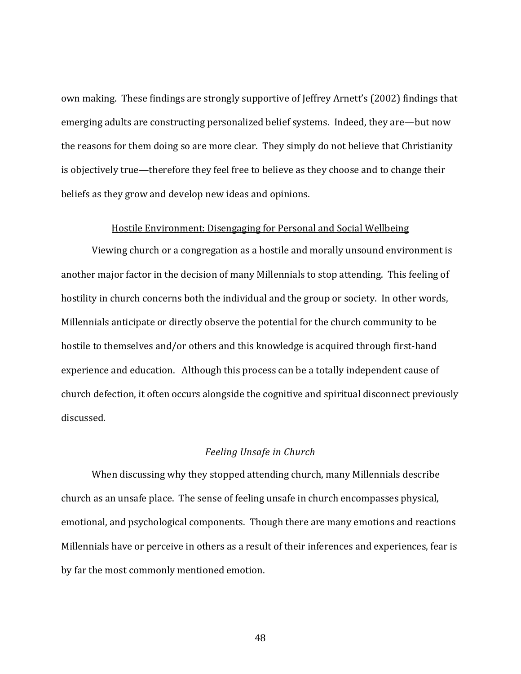own making. These findings are strongly supportive of Jeffrey Arnett's (2002) findings that emerging adults are constructing personalized belief systems. Indeed, they are—but now the reasons for them doing so are more clear. They simply do not believe that Christianity is objectively true—therefore they feel free to believe as they choose and to change their beliefs as they grow and develop new ideas and opinions.

#### Hostile Environment: Disengaging for Personal and Social Wellbeing

Viewing church or a congregation as a hostile and morally unsound environment is another major factor in the decision of many Millennials to stop attending. This feeling of hostility in church concerns both the individual and the group or society. In other words, Millennials anticipate or directly observe the potential for the church community to be hostile to themselves and/or others and this knowledge is acquired through first-hand experience and education. Although this process can be a totally independent cause of church defection, it often occurs alongside the cognitive and spiritual disconnect previously discussed.

## *Feeling Unsafe in Church*

When discussing why they stopped attending church, many Millennials describe church as an unsafe place. The sense of feeling unsafe in church encompasses physical, emotional, and psychological components. Though there are many emotions and reactions Millennials have or perceive in others as a result of their inferences and experiences, fear is by far the most commonly mentioned emotion.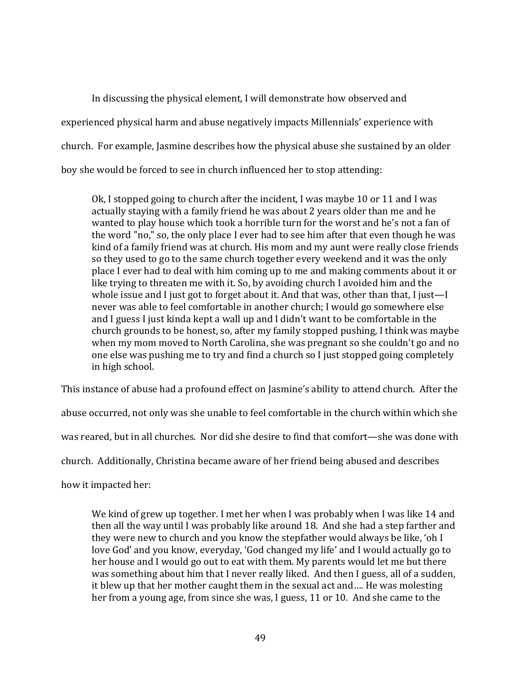In discussing the physical element, I will demonstrate how observed and experienced physical harm and abuse negatively impacts Millennials' experience with church. For example, Jasmine describes how the physical abuse she sustained by an older boy she would be forced to see in church influenced her to stop attending:

Ok, I stopped going to church after the incident, I was maybe 10 or 11 and I was actually staying with a family friend he was about 2 years older than me and he wanted to play house which took a horrible turn for the worst and he's not a fan of the word "no," so, the only place I ever had to see him after that even though he was kind of a family friend was at church. His mom and my aunt were really close friends so they used to go to the same church together every weekend and it was the only place I ever had to deal with him coming up to me and making comments about it or like trying to threaten me with it. So, by avoiding church I avoided him and the whole issue and I just got to forget about it. And that was, other than that, I just—I never was able to feel comfortable in another church; I would go somewhere else and I guess I just kinda kept a wall up and I didn't want to be comfortable in the church grounds to be honest, so, after my family stopped pushing, I think was maybe when my mom moved to North Carolina, she was pregnant so she couldn't go and no one else was pushing me to try and find a church so I just stopped going completely in high school.

This instance of abuse had a profound effect on Jasmine's ability to attend church. After the

abuse occurred, not only was she unable to feel comfortable in the church within which she

was reared, but in all churches. Nor did she desire to find that comfort—she was done with

church. Additionally, Christina became aware of her friend being abused and describes

how it impacted her:

We kind of grew up together. I met her when I was probably when I was like 14 and then all the way until I was probably like around 18. And she had a step farther and they were new to church and you know the stepfather would always be like, 'oh I love God' and you know, everyday, 'God changed my life' and I would actually go to her house and I would go out to eat with them. My parents would let me but there was something about him that I never really liked. And then I guess, all of a sudden, it blew up that her mother caught them in the sexual act and…. He was molesting her from a young age, from since she was, I guess, 11 or 10. And she came to the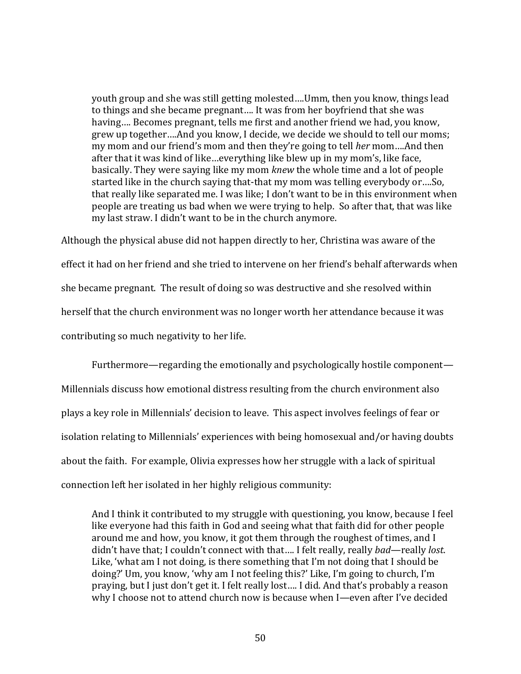youth group and she was still getting molested….Umm, then you know, things lead to things and she became pregnant…. It was from her boyfriend that she was having…. Becomes pregnant, tells me first and another friend we had, you know, grew up together….And you know, I decide, we decide we should to tell our moms; my mom and our friend's mom and then they're going to tell *her* mom….And then after that it was kind of like…everything like blew up in my mom's, like face, basically. They were saying like my mom *knew* the whole time and a lot of people started like in the church saying that-that my mom was telling everybody or….So, that really like separated me. I was like; I don't want to be in this environment when people are treating us bad when we were trying to help. So after that, that was like my last straw. I didn't want to be in the church anymore.

Although the physical abuse did not happen directly to her, Christina was aware of the effect it had on her friend and she tried to intervene on her friend's behalf afterwards when she became pregnant. The result of doing so was destructive and she resolved within herself that the church environment was no longer worth her attendance because it was contributing so much negativity to her life.

Furthermore—regarding the emotionally and psychologically hostile component— Millennials discuss how emotional distress resulting from the church environment also plays a key role in Millennials' decision to leave. This aspect involves feelings of fear or isolation relating to Millennials' experiences with being homosexual and/or having doubts about the faith. For example, Olivia expresses how her struggle with a lack of spiritual connection left her isolated in her highly religious community:

And I think it contributed to my struggle with questioning, you know, because I feel like everyone had this faith in God and seeing what that faith did for other people around me and how, you know, it got them through the roughest of times, and I didn't have that; I couldn't connect with that…. I felt really, really *bad*—really *lost*. Like, 'what am I not doing, is there something that I'm not doing that I should be doing?' Um, you know, 'why am I not feeling this?' Like, I'm going to church, I'm praying, but I just don't get it. I felt really lost…. I did. And that's probably a reason why I choose not to attend church now is because when I—even after I've decided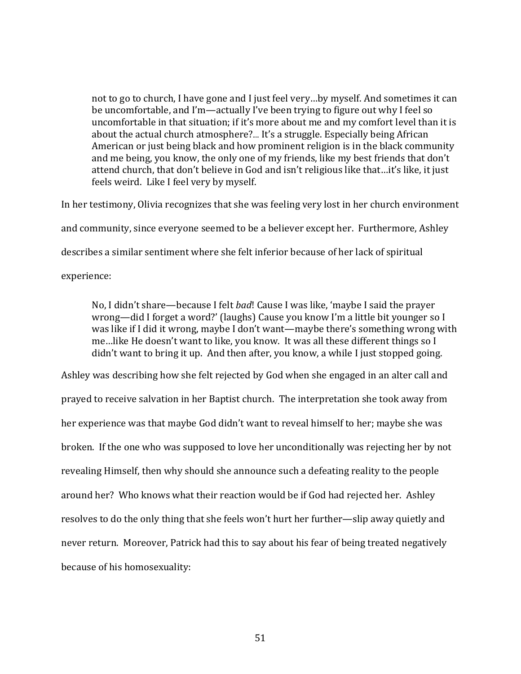not to go to church, I have gone and I just feel very…by myself. And sometimes it can be uncomfortable, and I'm—actually I've been trying to figure out why I feel so uncomfortable in that situation; if it's more about me and my comfort level than it is about the actual church atmosphere?.... It's a struggle. Especially being African American or just being black and how prominent religion is in the black community and me being, you know, the only one of my friends, like my best friends that don't attend church, that don't believe in God and isn't religious like that…it's like, it just feels weird. Like I feel very by myself.

In her testimony, Olivia recognizes that she was feeling very lost in her church environment

and community, since everyone seemed to be a believer except her. Furthermore, Ashley

describes a similar sentiment where she felt inferior because of her lack of spiritual

experience:

No, I didn't share—because I felt *bad*! Cause I was like, 'maybe I said the prayer wrong—did I forget a word?' (laughs) Cause you know I'm a little bit younger so I was like if I did it wrong, maybe I don't want—maybe there's something wrong with me…like He doesn't want to like, you know. It was all these different things so I didn't want to bring it up. And then after, you know, a while I just stopped going.

Ashley was describing how she felt rejected by God when she engaged in an alter call and prayed to receive salvation in her Baptist church. The interpretation she took away from her experience was that maybe God didn't want to reveal himself to her; maybe she was broken. If the one who was supposed to love her unconditionally was rejecting her by not revealing Himself, then why should she announce such a defeating reality to the people around her? Who knows what their reaction would be if God had rejected her. Ashley resolves to do the only thing that she feels won't hurt her further—slip away quietly and never return. Moreover, Patrick had this to say about his fear of being treated negatively because of his homosexuality: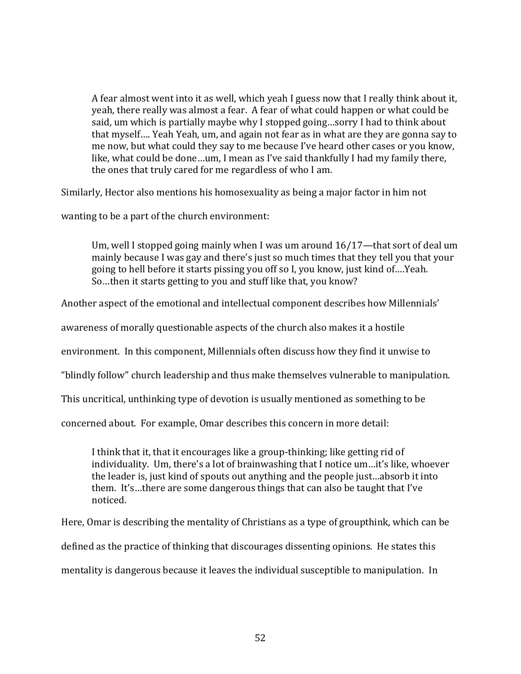A fear almost went into it as well, which yeah I guess now that I really think about it, yeah, there really was almost a fear. A fear of what could happen or what could be said, um which is partially maybe why I stopped going…sorry I had to think about that myself…. Yeah Yeah, um, and again not fear as in what are they are gonna say to me now, but what could they say to me because I've heard other cases or you know, like, what could be done…um, I mean as I've said thankfully I had my family there, the ones that truly cared for me regardless of who I am.

Similarly, Hector also mentions his homosexuality as being a major factor in him not

wanting to be a part of the church environment:

Um, well I stopped going mainly when I was um around 16/17—that sort of deal um mainly because I was gay and there's just so much times that they tell you that your going to hell before it starts pissing you off so I, you know, just kind of….Yeah. So…then it starts getting to you and stuff like that, you know?

Another aspect of the emotional and intellectual component describes how Millennials'

awareness of morally questionable aspects of the church also makes it a hostile

environment. In this component, Millennials often discuss how they find it unwise to

"blindly follow" church leadership and thus make themselves vulnerable to manipulation.

This uncritical, unthinking type of devotion is usually mentioned as something to be

concerned about. For example, Omar describes this concern in more detail:

I think that it, that it encourages like a group-thinking; like getting rid of individuality. Um, there's a lot of brainwashing that I notice um…it's like, whoever the leader is, just kind of spouts out anything and the people just…absorb it into them. It's…there are some dangerous things that can also be taught that I've noticed.

Here, Omar is describing the mentality of Christians as a type of groupthink, which can be defined as the practice of thinking that discourages dissenting opinions. He states this mentality is dangerous because it leaves the individual susceptible to manipulation. In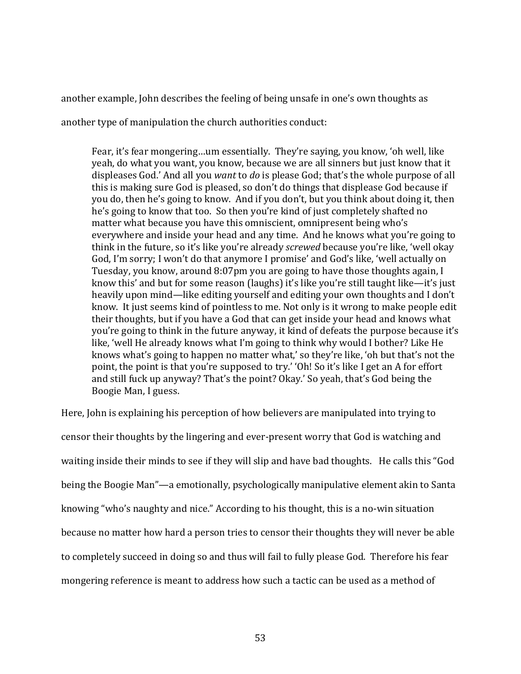another example, John describes the feeling of being unsafe in one's own thoughts as

another type of manipulation the church authorities conduct:

Fear, it's fear mongering…um essentially. They're saying, you know, 'oh well, like yeah, do what you want, you know, because we are all sinners but just know that it displeases God.' And all you *want* to *do* is please God; that's the whole purpose of all this is making sure God is pleased, so don't do things that displease God because if you do, then he's going to know. And if you don't, but you think about doing it, then he's going to know that too. So then you're kind of just completely shafted no matter what because you have this omniscient, omnipresent being who's everywhere and inside your head and any time. And he knows what you're going to think in the future, so it's like you're already *screwed* because you're like, 'well okay God, I'm sorry; I won't do that anymore I promise' and God's like, 'well actually on Tuesday, you know, around 8:07pm you are going to have those thoughts again, I know this' and but for some reason (laughs) it's like you're still taught like—it's just heavily upon mind—like editing yourself and editing your own thoughts and I don't know. It just seems kind of pointless to me. Not only is it wrong to make people edit their thoughts, but if you have a God that can get inside your head and knows what you're going to think in the future anyway, it kind of defeats the purpose because it's like, 'well He already knows what I'm going to think why would I bother? Like He knows what's going to happen no matter what,' so they're like, 'oh but that's not the point, the point is that you're supposed to try.' 'Oh! So it's like I get an A for effort and still fuck up anyway? That's the point? Okay.' So yeah, that's God being the Boogie Man, I guess.

Here, John is explaining his perception of how believers are manipulated into trying to censor their thoughts by the lingering and ever-present worry that God is watching and waiting inside their minds to see if they will slip and have bad thoughts. He calls this "God being the Boogie Man"—a emotionally, psychologically manipulative element akin to Santa knowing "who's naughty and nice." According to his thought, this is a no-win situation because no matter how hard a person tries to censor their thoughts they will never be able to completely succeed in doing so and thus will fail to fully please God. Therefore his fear mongering reference is meant to address how such a tactic can be used as a method of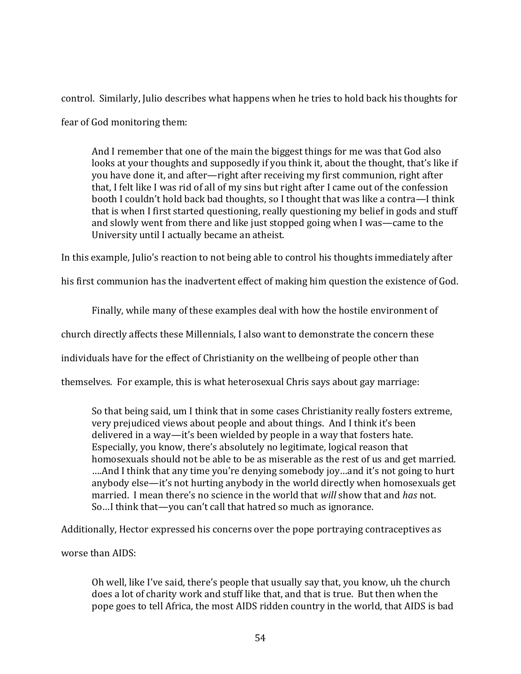control. Similarly, Julio describes what happens when he tries to hold back his thoughts for fear of God monitoring them:

And I remember that one of the main the biggest things for me was that God also looks at your thoughts and supposedly if you think it, about the thought, that's like if you have done it, and after—right after receiving my first communion, right after that, I felt like I was rid of all of my sins but right after I came out of the confession booth I couldn't hold back bad thoughts, so I thought that was like a contra—I think that is when I first started questioning, really questioning my belief in gods and stuff and slowly went from there and like just stopped going when I was—came to the University until I actually became an atheist.

In this example, Julio's reaction to not being able to control his thoughts immediately after

his first communion has the inadvertent effect of making him question the existence of God.

Finally, while many of these examples deal with how the hostile environment of

church directly affects these Millennials, I also want to demonstrate the concern these

individuals have for the effect of Christianity on the wellbeing of people other than

themselves. For example, this is what heterosexual Chris says about gay marriage:

So that being said, um I think that in some cases Christianity really fosters extreme, very prejudiced views about people and about things. And I think it's been delivered in a way—it's been wielded by people in a way that fosters hate. Especially, you know, there's absolutely no legitimate, logical reason that homosexuals should not be able to be as miserable as the rest of us and get married. ….And I think that any time you're denying somebody joy…and it's not going to hurt anybody else—it's not hurting anybody in the world directly when homosexuals get married. I mean there's no science in the world that *will* show that and *has* not. So…I think that—you can't call that hatred so much as ignorance.

Additionally, Hector expressed his concerns over the pope portraying contraceptives as

worse than AIDS:

Oh well, like I've said, there's people that usually say that, you know, uh the church does a lot of charity work and stuff like that, and that is true. But then when the pope goes to tell Africa, the most AIDS ridden country in the world, that AIDS is bad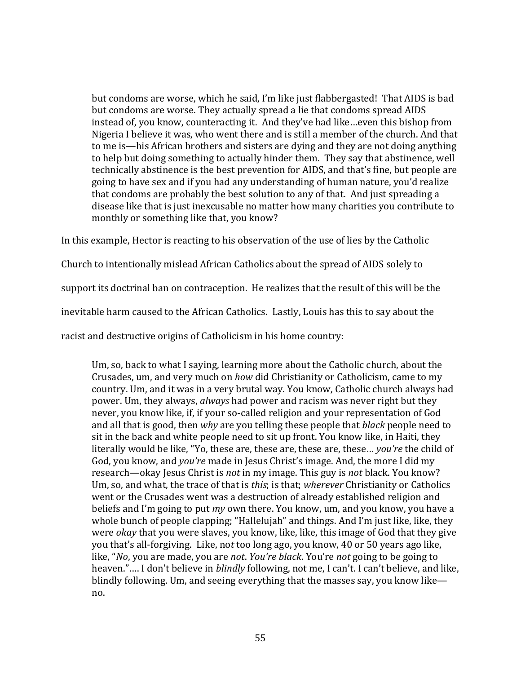but condoms are worse, which he said, I'm like just flabbergasted! That AIDS is bad but condoms are worse. They actually spread a lie that condoms spread AIDS instead of, you know, counteracting it. And they've had like…even this bishop from Nigeria I believe it was, who went there and is still a member of the church. And that to me is—his African brothers and sisters are dying and they are not doing anything to help but doing something to actually hinder them. They say that abstinence, well technically abstinence is the best prevention for AIDS, and that's fine, but people are going to have sex and if you had any understanding of human nature, you'd realize that condoms are probably the best solution to any of that. And just spreading a disease like that is just inexcusable no matter how many charities you contribute to monthly or something like that, you know?

In this example, Hector is reacting to his observation of the use of lies by the Catholic

Church to intentionally mislead African Catholics about the spread of AIDS solely to

support its doctrinal ban on contraception. He realizes that the result of this will be the

inevitable harm caused to the African Catholics. Lastly, Louis has this to say about the

racist and destructive origins of Catholicism in his home country:

Um, so, back to what I saying, learning more about the Catholic church, about the Crusades, um, and very much on *how* did Christianity or Catholicism, came to my country. Um, and it was in a very brutal way. You know, Catholic church always had power. Um, they always, *always* had power and racism was never right but they never, you know like, if, if your so-called religion and your representation of God and all that is good, then *why* are you telling these people that *black* people need to sit in the back and white people need to sit up front. You know like, in Haiti, they literally would be like, "Yo, these are, these are, these are, these… *you're* the child of God, you know, and *you're* made in Jesus Christ's image. And, the more I did my research—okay Jesus Christ is *not* in my image. This guy is *not* black. You know? Um, so, and what, the trace of that is *this*; is that; *wherever* Christianity or Catholics went or the Crusades went was a destruction of already established religion and beliefs and I'm going to put *my* own there. You know, um, and you know, you have a whole bunch of people clapping; "Hallelujah" and things. And I'm just like, like, they were *okay* that you were slaves, you know, like, like, this image of God that they give you that's all-forgiving. Like, no*t* too long ago, you know, 40 or 50 years ago like, like, "*No*, you are made, you are *not*. *You're black*. You're *not* going to be going to heaven."…. I don't believe in *blindly* following, not me, I can't. I can't believe, and like, blindly following. Um, and seeing everything that the masses say, you know like no.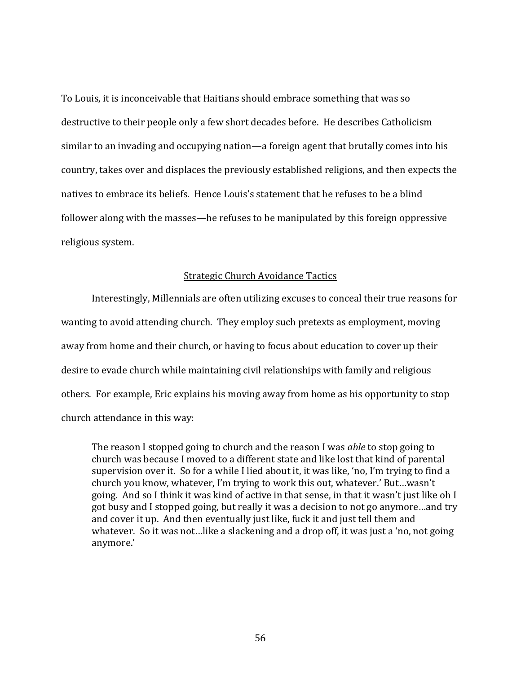To Louis, it is inconceivable that Haitians should embrace something that was so destructive to their people only a few short decades before. He describes Catholicism similar to an invading and occupying nation—a foreign agent that brutally comes into his country, takes over and displaces the previously established religions, and then expects the natives to embrace its beliefs. Hence Louis's statement that he refuses to be a blind follower along with the masses—he refuses to be manipulated by this foreign oppressive religious system.

## Strategic Church Avoidance Tactics

Interestingly, Millennials are often utilizing excuses to conceal their true reasons for wanting to avoid attending church. They employ such pretexts as employment, moving away from home and their church, or having to focus about education to cover up their desire to evade church while maintaining civil relationships with family and religious others. For example, Eric explains his moving away from home as his opportunity to stop church attendance in this way:

The reason I stopped going to church and the reason I was *able* to stop going to church was because I moved to a different state and like lost that kind of parental supervision over it. So for a while I lied about it, it was like, 'no, I'm trying to find a church you know, whatever, I'm trying to work this out, whatever.' But…wasn't going. And so I think it was kind of active in that sense, in that it wasn't just like oh I got busy and I stopped going, but really it was a decision to not go anymore…and try and cover it up. And then eventually just like, fuck it and just tell them and whatever. So it was not…like a slackening and a drop off, it was just a 'no, not going anymore.'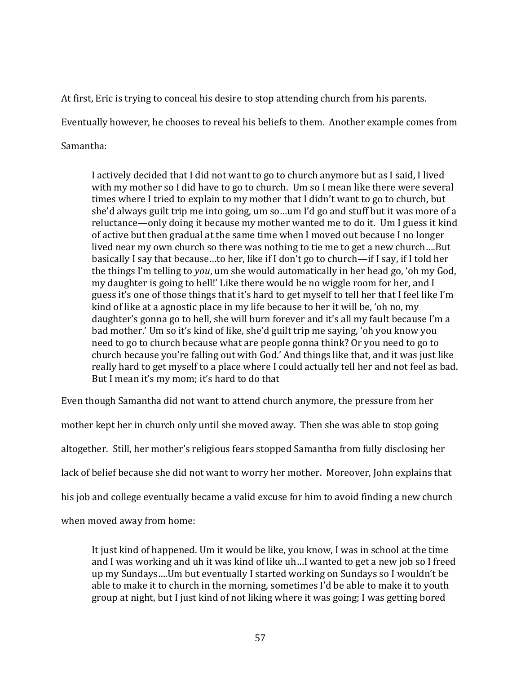At first, Eric is trying to conceal his desire to stop attending church from his parents.

Eventually however, he chooses to reveal his beliefs to them. Another example comes from

Samantha:

I actively decided that I did not want to go to church anymore but as I said, I lived with my mother so I did have to go to church. Um so I mean like there were several times where I tried to explain to my mother that I didn't want to go to church, but she'd always guilt trip me into going, um so…um I'd go and stuff but it was more of a reluctance—only doing it because my mother wanted me to do it. Um I guess it kind of active but then gradual at the same time when I moved out because I no longer lived near my own church so there was nothing to tie me to get a new church….But basically I say that because…to her, like if I don't go to church—if I say, if I told her the things I'm telling to *you*, um she would automatically in her head go, 'oh my God, my daughter is going to hell!' Like there would be no wiggle room for her, and I guess it's one of those things that it's hard to get myself to tell her that I feel like I'm kind of like at a agnostic place in my life because to her it will be, 'oh no, my daughter's gonna go to hell, she will burn forever and it's all my fault because I'm a bad mother.' Um so it's kind of like, she'd guilt trip me saying, 'oh you know you need to go to church because what are people gonna think? Or you need to go to church because you're falling out with God.' And things like that, and it was just like really hard to get myself to a place where I could actually tell her and not feel as bad. But I mean it's my mom; it's hard to do that

Even though Samantha did not want to attend church anymore, the pressure from her

mother kept her in church only until she moved away. Then she was able to stop going altogether. Still, her mother's religious fears stopped Samantha from fully disclosing her lack of belief because she did not want to worry her mother. Moreover, John explains that his job and college eventually became a valid excuse for him to avoid finding a new church when moved away from home:

It just kind of happened. Um it would be like, you know, I was in school at the time and I was working and uh it was kind of like uh…I wanted to get a new job so I freed up my Sundays….Um but eventually I started working on Sundays so I wouldn't be able to make it to church in the morning, sometimes I'd be able to make it to youth group at night, but I just kind of not liking where it was going; I was getting bored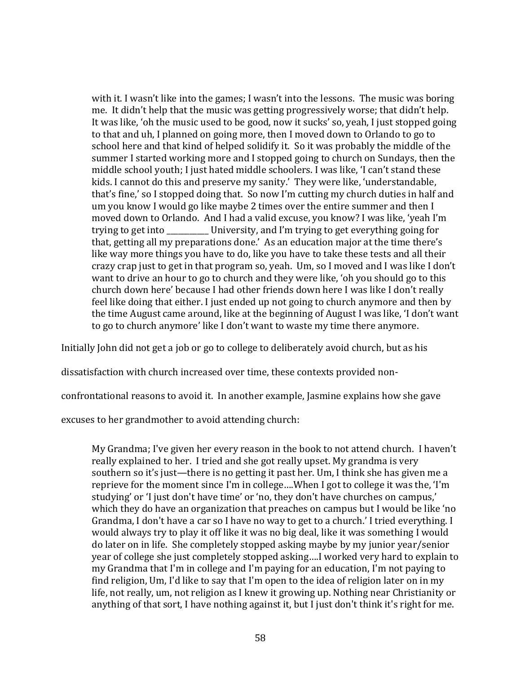with it. I wasn't like into the games; I wasn't into the lessons. The music was boring me. It didn't help that the music was getting progressively worse; that didn't help. It was like, 'oh the music used to be good, now it sucks' so, yeah, I just stopped going to that and uh, I planned on going more, then I moved down to Orlando to go to school here and that kind of helped solidify it. So it was probably the middle of the summer I started working more and I stopped going to church on Sundays, then the middle school youth; I just hated middle schoolers. I was like, 'I can't stand these kids. I cannot do this and preserve my sanity.' They were like, 'understandable, that's fine,' so I stopped doing that. So now I'm cutting my church duties in half and um you know I would go like maybe 2 times over the entire summer and then I moved down to Orlando. And I had a valid excuse, you know? I was like, 'yeah I'm trying to get into \_\_\_\_\_\_\_\_\_\_\_ University, and I'm trying to get everything going for that, getting all my preparations done.' As an education major at the time there's like way more things you have to do, like you have to take these tests and all their crazy crap just to get in that program so, yeah. Um, so I moved and I was like I don't want to drive an hour to go to church and they were like, 'oh you should go to this church down here' because I had other friends down here I was like I don't really feel like doing that either. I just ended up not going to church anymore and then by the time August came around, like at the beginning of August I was like, 'I don't want to go to church anymore' like I don't want to waste my time there anymore.

Initially John did not get a job or go to college to deliberately avoid church, but as his

dissatisfaction with church increased over time, these contexts provided non-

confrontational reasons to avoid it. In another example, Jasmine explains how she gave

excuses to her grandmother to avoid attending church:

My Grandma; I've given her every reason in the book to not attend church. I haven't really explained to her. I tried and she got really upset. My grandma is very southern so it's just—there is no getting it past her. Um, I think she has given me a reprieve for the moment since I'm in college….When I got to college it was the, 'I'm studying' or 'I just don't have time' or 'no, they don't have churches on campus,' which they do have an organization that preaches on campus but I would be like 'no Grandma, I don't have a car so I have no way to get to a church.' I tried everything. I would always try to play it off like it was no big deal, like it was something I would do later on in life. She completely stopped asking maybe by my junior year/senior year of college she just completely stopped asking….I worked very hard to explain to my Grandma that I'm in college and I'm paying for an education, I'm not paying to find religion, Um, I'd like to say that I'm open to the idea of religion later on in my life, not really, um, not religion as I knew it growing up. Nothing near Christianity or anything of that sort, I have nothing against it, but I just don't think it's right for me.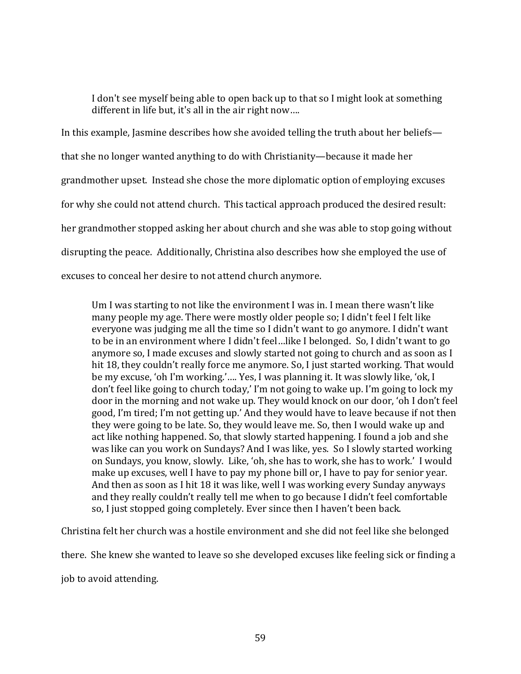I don't see myself being able to open back up to that so I might look at something different in life but, it's all in the air right now….

In this example, Jasmine describes how she avoided telling the truth about her beliefs that she no longer wanted anything to do with Christianity—because it made her grandmother upset. Instead she chose the more diplomatic option of employing excuses for why she could not attend church. This tactical approach produced the desired result: her grandmother stopped asking her about church and she was able to stop going without disrupting the peace. Additionally, Christina also describes how she employed the use of excuses to conceal her desire to not attend church anymore.

Um I was starting to not like the environment I was in. I mean there wasn't like many people my age. There were mostly older people so; I didn't feel I felt like everyone was judging me all the time so I didn't want to go anymore. I didn't want to be in an environment where I didn't feel…like I belonged. So, I didn't want to go anymore so, I made excuses and slowly started not going to church and as soon as I hit 18, they couldn't really force me anymore. So, I just started working. That would be my excuse, 'oh I'm working.'…. Yes, I was planning it. It was slowly like, 'ok, I don't feel like going to church today,' I'm not going to wake up. I'm going to lock my door in the morning and not wake up. They would knock on our door, 'oh I don't feel good, I'm tired; I'm not getting up.' And they would have to leave because if not then they were going to be late. So, they would leave me. So, then I would wake up and act like nothing happened. So, that slowly started happening. I found a job and she was like can you work on Sundays? And I was like, yes. So I slowly started working on Sundays, you know, slowly. Like, 'oh, she has to work, she has to work.' I would make up excuses, well I have to pay my phone bill or, I have to pay for senior year. And then as soon as I hit 18 it was like, well I was working every Sunday anyways and they really couldn't really tell me when to go because I didn't feel comfortable so, I just stopped going completely. Ever since then I haven't been back.

Christina felt her church was a hostile environment and she did not feel like she belonged

there. She knew she wanted to leave so she developed excuses like feeling sick or finding a

job to avoid attending.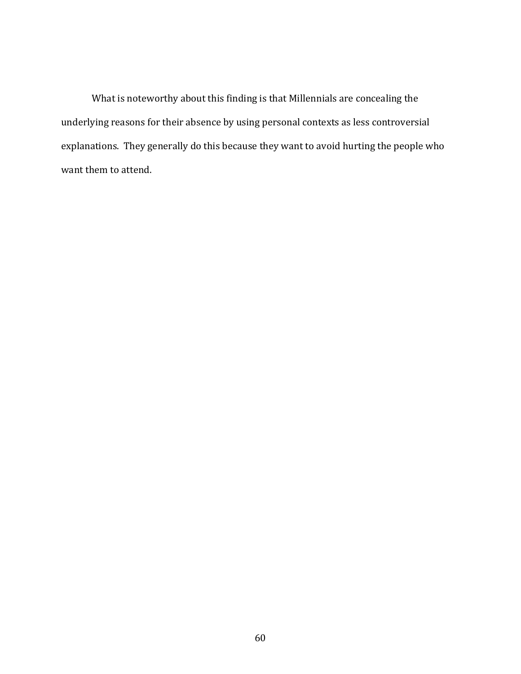What is noteworthy about this finding is that Millennials are concealing the underlying reasons for their absence by using personal contexts as less controversial explanations. They generally do this because they want to avoid hurting the people who want them to attend.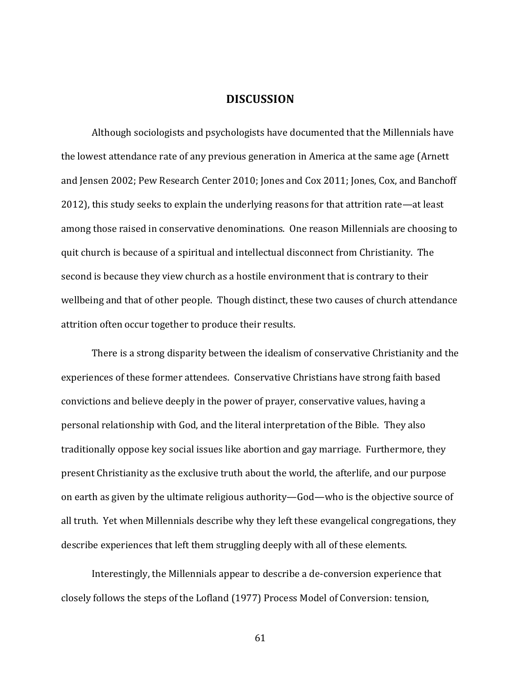# **DISCUSSION**

Although sociologists and psychologists have documented that the Millennials have the lowest attendance rate of any previous generation in America at the same age (Arnett and Jensen 2002; Pew Research Center 2010; Jones and Cox 2011; Jones, Cox, and Banchoff 2012), this study seeks to explain the underlying reasons for that attrition rate—at least among those raised in conservative denominations. One reason Millennials are choosing to quit church is because of a spiritual and intellectual disconnect from Christianity. The second is because they view church as a hostile environment that is contrary to their wellbeing and that of other people. Though distinct, these two causes of church attendance attrition often occur together to produce their results.

There is a strong disparity between the idealism of conservative Christianity and the experiences of these former attendees. Conservative Christians have strong faith based convictions and believe deeply in the power of prayer, conservative values, having a personal relationship with God, and the literal interpretation of the Bible. They also traditionally oppose key social issues like abortion and gay marriage. Furthermore, they present Christianity as the exclusive truth about the world, the afterlife, and our purpose on earth as given by the ultimate religious authority—God—who is the objective source of all truth. Yet when Millennials describe why they left these evangelical congregations, they describe experiences that left them struggling deeply with all of these elements.

Interestingly, the Millennials appear to describe a de-conversion experience that closely follows the steps of the Lofland (1977) Process Model of Conversion: tension,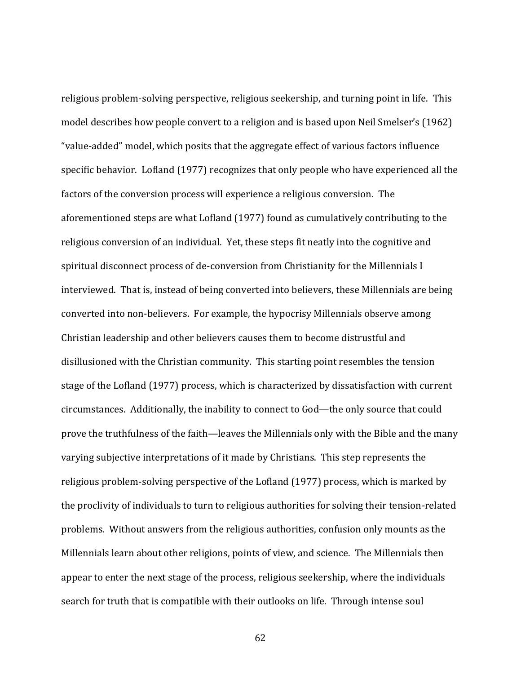religious problem-solving perspective, religious seekership, and turning point in life. This model describes how people convert to a religion and is based upon Neil Smelser's (1962) "value-added" model, which posits that the aggregate effect of various factors influence specific behavior. Lofland (1977) recognizes that only people who have experienced all the factors of the conversion process will experience a religious conversion. The aforementioned steps are what Lofland (1977) found as cumulatively contributing to the religious conversion of an individual. Yet, these steps fit neatly into the cognitive and spiritual disconnect process of de-conversion from Christianity for the Millennials I interviewed. That is, instead of being converted into believers, these Millennials are being converted into non-believers. For example, the hypocrisy Millennials observe among Christian leadership and other believers causes them to become distrustful and disillusioned with the Christian community. This starting point resembles the tension stage of the Lofland (1977) process, which is characterized by dissatisfaction with current circumstances. Additionally, the inability to connect to God—the only source that could prove the truthfulness of the faith—leaves the Millennials only with the Bible and the many varying subjective interpretations of it made by Christians. This step represents the religious problem-solving perspective of the Lofland (1977) process, which is marked by the proclivity of individuals to turn to religious authorities for solving their tension-related problems. Without answers from the religious authorities, confusion only mounts as the Millennials learn about other religions, points of view, and science. The Millennials then appear to enter the next stage of the process, religious seekership, where the individuals search for truth that is compatible with their outlooks on life. Through intense soul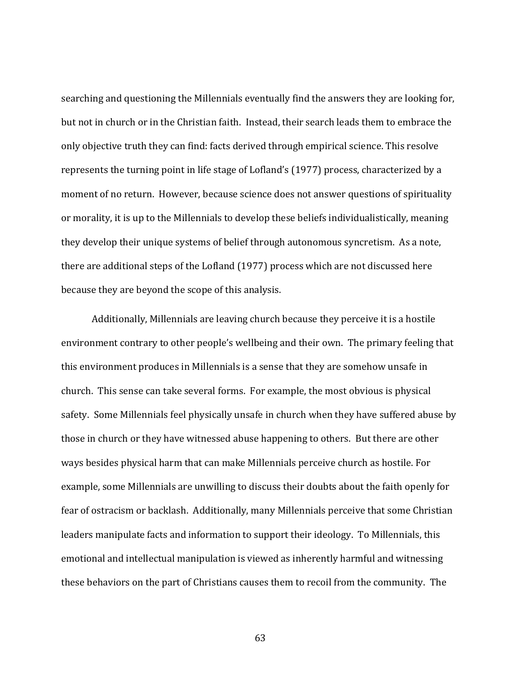searching and questioning the Millennials eventually find the answers they are looking for, but not in church or in the Christian faith. Instead, their search leads them to embrace the only objective truth they can find: facts derived through empirical science. This resolve represents the turning point in life stage of Lofland's (1977) process, characterized by a moment of no return. However, because science does not answer questions of spirituality or morality, it is up to the Millennials to develop these beliefs individualistically, meaning they develop their unique systems of belief through autonomous syncretism. As a note, there are additional steps of the Lofland (1977) process which are not discussed here because they are beyond the scope of this analysis.

Additionally, Millennials are leaving church because they perceive it is a hostile environment contrary to other people's wellbeing and their own. The primary feeling that this environment produces in Millennials is a sense that they are somehow unsafe in church. This sense can take several forms. For example, the most obvious is physical safety. Some Millennials feel physically unsafe in church when they have suffered abuse by those in church or they have witnessed abuse happening to others. But there are other ways besides physical harm that can make Millennials perceive church as hostile. For example, some Millennials are unwilling to discuss their doubts about the faith openly for fear of ostracism or backlash. Additionally, many Millennials perceive that some Christian leaders manipulate facts and information to support their ideology. To Millennials, this emotional and intellectual manipulation is viewed as inherently harmful and witnessing these behaviors on the part of Christians causes them to recoil from the community. The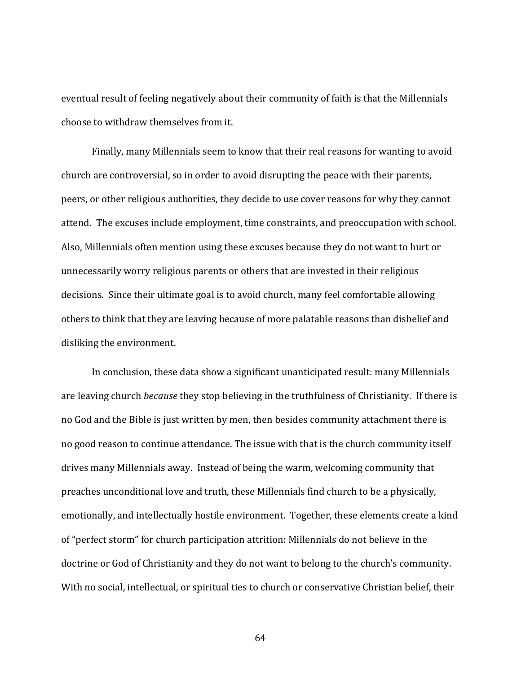eventual result of feeling negatively about their community of faith is that the Millennials choose to withdraw themselves from it.

Finally, many Millennials seem to know that their real reasons for wanting to avoid church are controversial, so in order to avoid disrupting the peace with their parents, peers, or other religious authorities, they decide to use cover reasons for why they cannot attend. The excuses include employment, time constraints, and preoccupation with school. Also, Millennials often mention using these excuses because they do not want to hurt or unnecessarily worry religious parents or others that are invested in their religious decisions. Since their ultimate goal is to avoid church, many feel comfortable allowing others to think that they are leaving because of more palatable reasons than disbelief and disliking the environment.

In conclusion, these data show a significant unanticipated result: many Millennials are leaving church *because* they stop believing in the truthfulness of Christianity. If there is no God and the Bible is just written by men, then besides community attachment there is no good reason to continue attendance. The issue with that is the church community itself drives many Millennials away. Instead of being the warm, welcoming community that preaches unconditional love and truth, these Millennials find church to be a physically, emotionally, and intellectually hostile environment. Together, these elements create a kind of "perfect storm" for church participation attrition: Millennials do not believe in the doctrine or God of Christianity and they do not want to belong to the church's community. With no social, intellectual, or spiritual ties to church or conservative Christian belief, their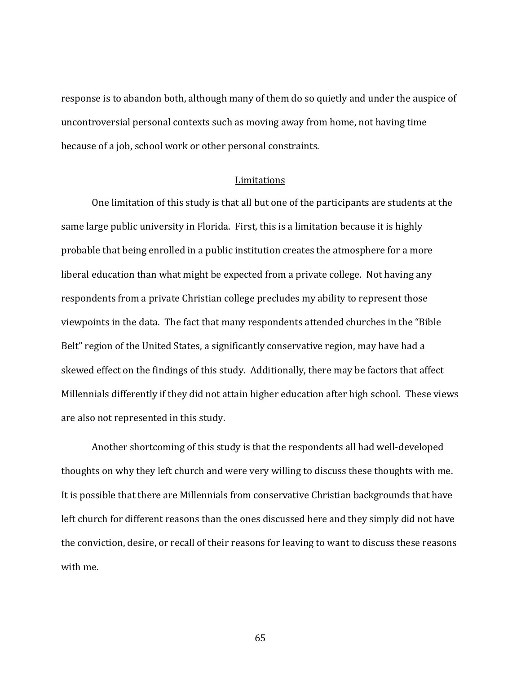response is to abandon both, although many of them do so quietly and under the auspice of uncontroversial personal contexts such as moving away from home, not having time because of a job, school work or other personal constraints.

#### Limitations

One limitation of this study is that all but one of the participants are students at the same large public university in Florida. First, this is a limitation because it is highly probable that being enrolled in a public institution creates the atmosphere for a more liberal education than what might be expected from a private college. Not having any respondents from a private Christian college precludes my ability to represent those viewpoints in the data. The fact that many respondents attended churches in the "Bible Belt" region of the United States, a significantly conservative region, may have had a skewed effect on the findings of this study. Additionally, there may be factors that affect Millennials differently if they did not attain higher education after high school. These views are also not represented in this study.

Another shortcoming of this study is that the respondents all had well-developed thoughts on why they left church and were very willing to discuss these thoughts with me. It is possible that there are Millennials from conservative Christian backgrounds that have left church for different reasons than the ones discussed here and they simply did not have the conviction, desire, or recall of their reasons for leaving to want to discuss these reasons with me.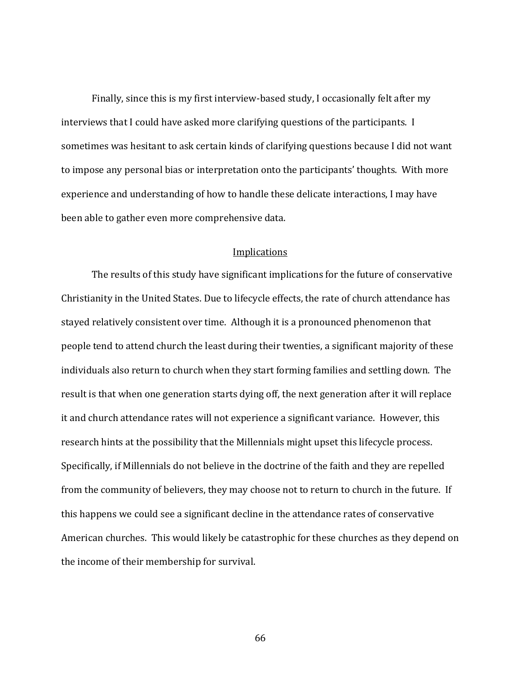Finally, since this is my first interview-based study, I occasionally felt after my interviews that I could have asked more clarifying questions of the participants. I sometimes was hesitant to ask certain kinds of clarifying questions because I did not want to impose any personal bias or interpretation onto the participants' thoughts. With more experience and understanding of how to handle these delicate interactions, I may have been able to gather even more comprehensive data.

#### **Implications**

The results of this study have significant implications for the future of conservative Christianity in the United States. Due to lifecycle effects, the rate of church attendance has stayed relatively consistent over time. Although it is a pronounced phenomenon that people tend to attend church the least during their twenties, a significant majority of these individuals also return to church when they start forming families and settling down. The result is that when one generation starts dying off, the next generation after it will replace it and church attendance rates will not experience a significant variance. However, this research hints at the possibility that the Millennials might upset this lifecycle process. Specifically, if Millennials do not believe in the doctrine of the faith and they are repelled from the community of believers, they may choose not to return to church in the future. If this happens we could see a significant decline in the attendance rates of conservative American churches. This would likely be catastrophic for these churches as they depend on the income of their membership for survival.

66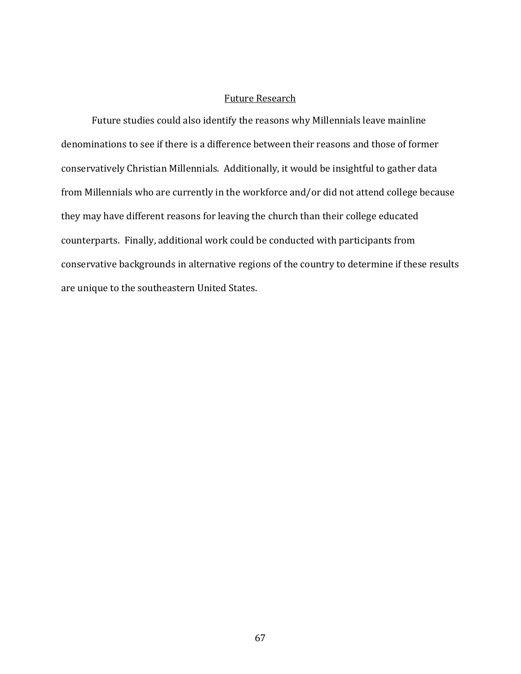#### Future Research

Future studies could also identify the reasons why Millennials leave mainline denominations to see if there is a difference between their reasons and those of former conservatively Christian Millennials. Additionally, it would be insightful to gather data from Millennials who are currently in the workforce and/or did not attend college because they may have different reasons for leaving the church than their college educated counterparts. Finally, additional work could be conducted with participants from conservative backgrounds in alternative regions of the country to determine if these results are unique to the southeastern United States.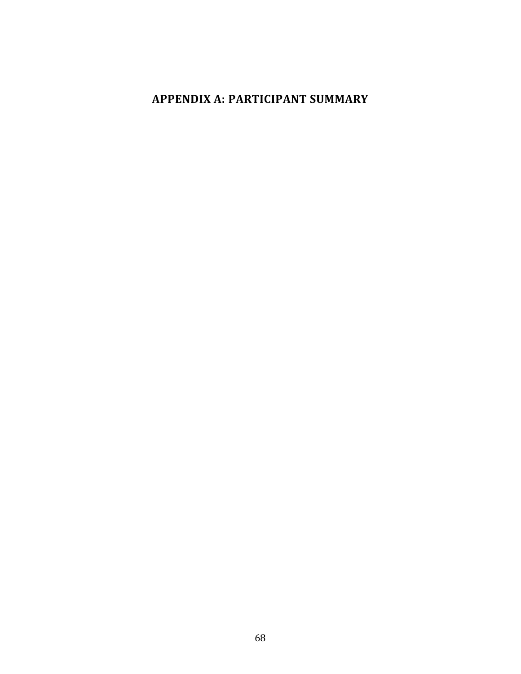# **APPENDIX A: PARTICIPANT SUMMARY**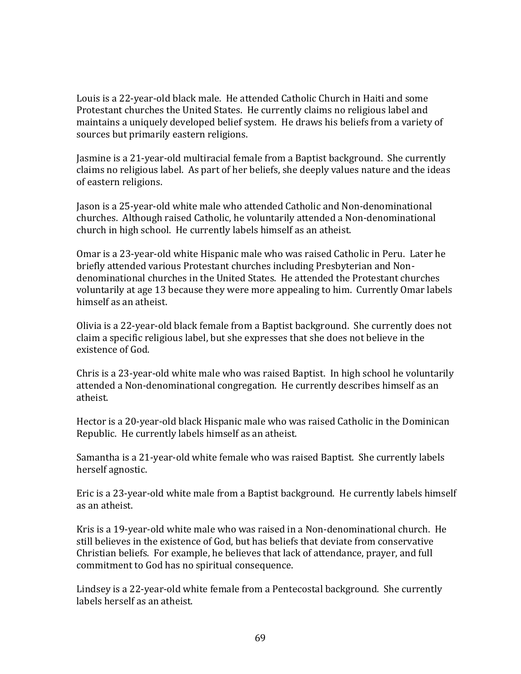Louis is a 22-year-old black male. He attended Catholic Church in Haiti and some Protestant churches the United States. He currently claims no religious label and maintains a uniquely developed belief system. He draws his beliefs from a variety of sources but primarily eastern religions.

Jasmine is a 21-year-old multiracial female from a Baptist background. She currently claims no religious label. As part of her beliefs, she deeply values nature and the ideas of eastern religions.

Jason is a 25-year-old white male who attended Catholic and Non-denominational churches. Although raised Catholic, he voluntarily attended a Non-denominational church in high school. He currently labels himself as an atheist.

Omar is a 23-year-old white Hispanic male who was raised Catholic in Peru. Later he briefly attended various Protestant churches including Presbyterian and Nondenominational churches in the United States. He attended the Protestant churches voluntarily at age 13 because they were more appealing to him. Currently Omar labels himself as an atheist.

Olivia is a 22-year-old black female from a Baptist background. She currently does not claim a specific religious label, but she expresses that she does not believe in the existence of God.

Chris is a 23-year-old white male who was raised Baptist. In high school he voluntarily attended a Non-denominational congregation. He currently describes himself as an atheist.

Hector is a 20-year-old black Hispanic male who was raised Catholic in the Dominican Republic. He currently labels himself as an atheist.

Samantha is a 21-year-old white female who was raised Baptist. She currently labels herself agnostic.

Eric is a 23-year-old white male from a Baptist background. He currently labels himself as an atheist.

Kris is a 19-year-old white male who was raised in a Non-denominational church. He still believes in the existence of God, but has beliefs that deviate from conservative Christian beliefs. For example, he believes that lack of attendance, prayer, and full commitment to God has no spiritual consequence.

Lindsey is a 22-year-old white female from a Pentecostal background. She currently labels herself as an atheist.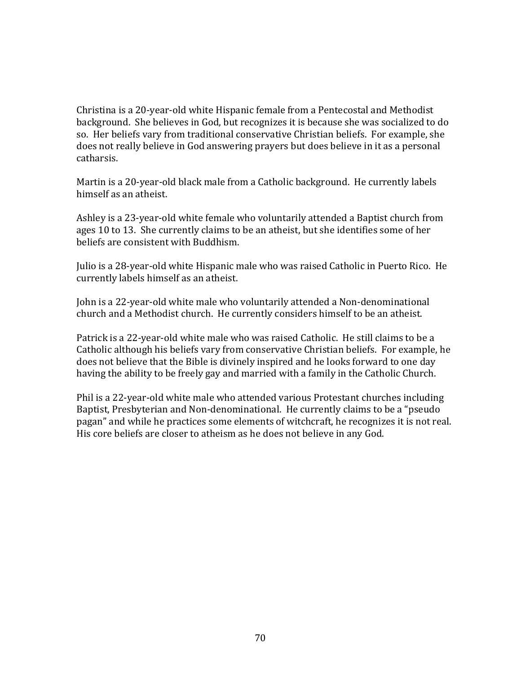Christina is a 20-year-old white Hispanic female from a Pentecostal and Methodist background. She believes in God, but recognizes it is because she was socialized to do so. Her beliefs vary from traditional conservative Christian beliefs. For example, she does not really believe in God answering prayers but does believe in it as a personal catharsis.

Martin is a 20-year-old black male from a Catholic background. He currently labels himself as an atheist.

Ashley is a 23-year-old white female who voluntarily attended a Baptist church from ages 10 to 13. She currently claims to be an atheist, but she identifies some of her beliefs are consistent with Buddhism.

Julio is a 28-year-old white Hispanic male who was raised Catholic in Puerto Rico. He currently labels himself as an atheist.

John is a 22-year-old white male who voluntarily attended a Non-denominational church and a Methodist church. He currently considers himself to be an atheist.

Patrick is a 22-year-old white male who was raised Catholic. He still claims to be a Catholic although his beliefs vary from conservative Christian beliefs. For example, he does not believe that the Bible is divinely inspired and he looks forward to one day having the ability to be freely gay and married with a family in the Catholic Church.

Phil is a 22-year-old white male who attended various Protestant churches including Baptist, Presbyterian and Non-denominational. He currently claims to be a "pseudo pagan" and while he practices some elements of witchcraft, he recognizes it is not real. His core beliefs are closer to atheism as he does not believe in any God.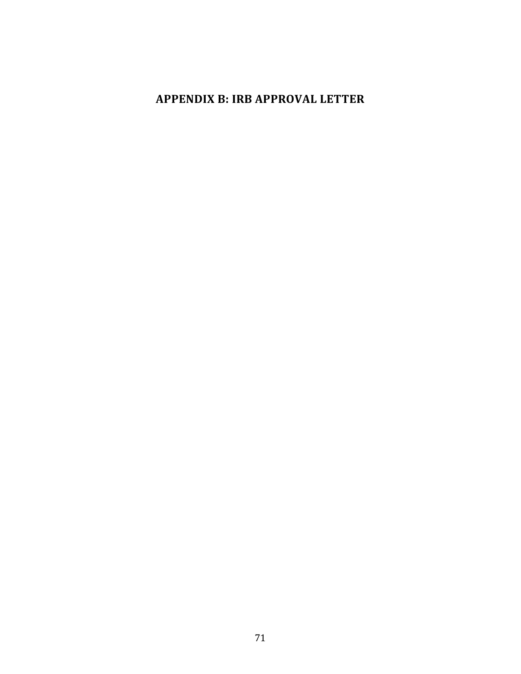## **APPENDIX B: IRB APPROVAL LETTER**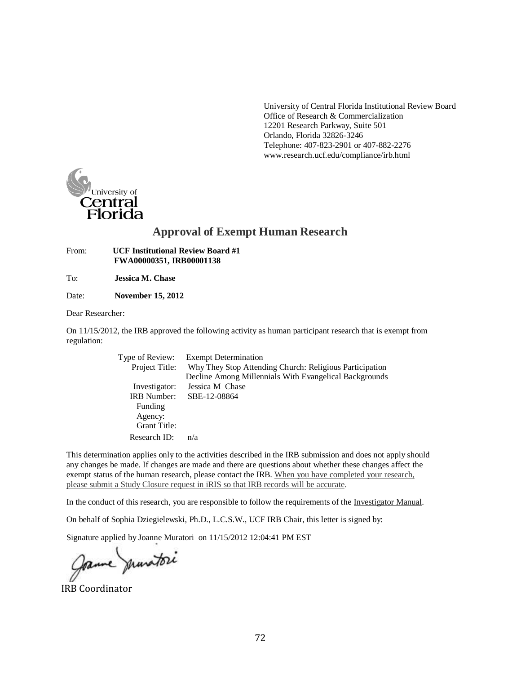University of Central Florida Institutional Review Board Office of Research & Commercialization 12201 Research Parkway, Suite 501 Orlando, Florida 32826-3246 Telephone: 407-823-2901 or 407-882-227[6](http://www.research.ucf.edu/compliance/irb.html) [www.research.ucf.edu/compliance/irb.html](http://www.research.ucf.edu/compliance/irb.html)



### **Approval of Exempt Human Research**

From: **UCF Institutional Review Board #1 FWA00000351, IRB00001138**

To: **Jessica M. Chase**

Date: **November 15, 2012**

Dear Researcher:

On 11/15/2012, the IRB approved the following activity as human participant research that is exempt from regulation:

| Type of Review:<br>Project Title: | <b>Exempt Determination</b><br>Why They Stop Attending Church: Religious Participation<br>Decline Among Millennials With Evangelical Backgrounds |
|-----------------------------------|--------------------------------------------------------------------------------------------------------------------------------------------------|
| Investigator:                     | Jessica M Chase                                                                                                                                  |
| <b>IRB</b> Number:                | SBE-12-08864                                                                                                                                     |
| Funding                           |                                                                                                                                                  |
| Agency:                           |                                                                                                                                                  |
| <b>Grant Title:</b>               |                                                                                                                                                  |
| Research ID:                      | n/a                                                                                                                                              |

This determination applies only to the activities described in the IRB submission and does not apply should any changes be made. If changes are made and there are questions about whether these changes affect the exempt status of the human research, please contact the IRB. When you have completed your research, please submit a Study Closure request in iRIS so that IRB records will be accurate.

In the conduct of this research, you are responsible to follow the requirements of the Investigator Manual.

On behalf of Sophia Dziegielewski, Ph.D., L.C.S.W., UCF IRB Chair, this letter is signed by:

Signature applied by Joanne Muratori on 11/15/2012 12:04:41 PM EST

Jame munitori

IRB Coordinator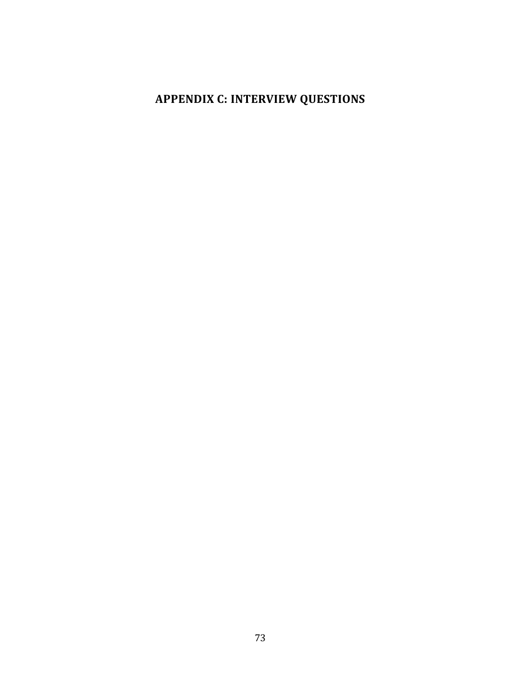# **APPENDIX C: INTERVIEW QUESTIONS**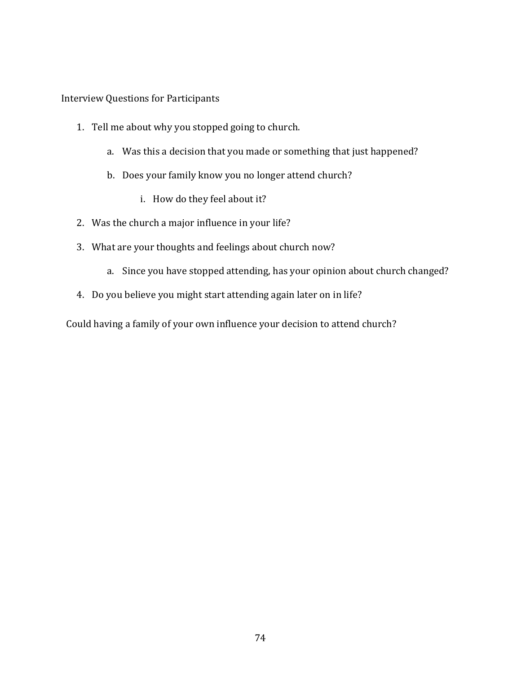Interview Questions for Participants

- 1. Tell me about why you stopped going to church.
	- a. Was this a decision that you made or something that just happened?
	- b. Does your family know you no longer attend church?
		- i. How do they feel about it?
- 2. Was the church a major influence in your life?
- 3. What are your thoughts and feelings about church now?
	- a. Since you have stopped attending, has your opinion about church changed?
- 4. Do you believe you might start attending again later on in life?

Could having a family of your own influence your decision to attend church?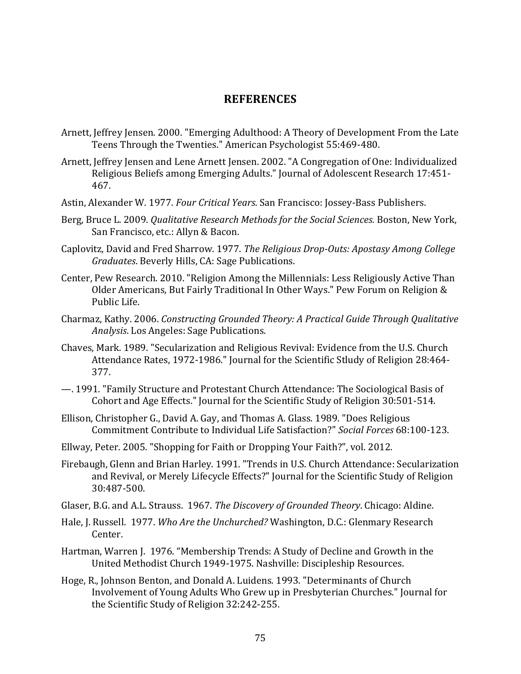### **REFERENCES**

- Arnett, Jeffrey Jensen. 2000. "Emerging Adulthood: A Theory of Development From the Late Teens Through the Twenties." American Psychologist 55:469-480.
- Arnett, Jeffrey Jensen and Lene Arnett Jensen. 2002. "A Congregation of One: Individualized Religious Beliefs among Emerging Adults." Journal of Adolescent Research 17:451- 467.
- Astin, Alexander W. 1977. *Four Critical Years*. San Francisco: Jossey-Bass Publishers.
- Berg, Bruce L. 2009. *Qualitative Research Methods for the Social Sciences.* Boston, New York, San Francisco, etc.: Allyn & Bacon.
- Caplovitz, David and Fred Sharrow. 1977. *The Religious Drop-Outs: Apostasy Among College Graduates*. Beverly Hills, CA: Sage Publications.
- Center, Pew Research. 2010. "Religion Among the Millennials: Less Religiously Active Than Older Americans, But Fairly Traditional In Other Ways." Pew Forum on Religion & Public Life.
- Charmaz, Kathy. 2006. *Constructing Grounded Theory: A Practical Guide Through Qualitative Analysis*. Los Angeles: Sage Publications.
- Chaves, Mark. 1989. "Secularization and Religious Revival: Evidence from the U.S. Church Attendance Rates, 1972-1986." Journal for the Scientific Stludy of Religion 28:464- 377.
- —. 1991. "Family Structure and Protestant Church Attendance: The Sociological Basis of Cohort and Age Effects." Journal for the Scientific Study of Religion 30:501-514.
- Ellison, Christopher G., David A. Gay, and Thomas A. Glass. 1989. "Does Religious Commitment Contribute to Individual Life Satisfaction?" *Social Forces* 68:100-123.
- Ellway, Peter. 2005. "Shopping for Faith or Dropping Your Faith?", vol. 2012.
- Firebaugh, Glenn and Brian Harley. 1991. "Trends in U.S. Church Attendance: Secularization and Revival, or Merely Lifecycle Effects?" Journal for the Scientific Study of Religion 30:487-500.
- Glaser, B.G. and A.L. Strauss. 1967. *The Discovery of Grounded Theory*. Chicago: Aldine.
- Hale, J. Russell. 1977. *Who Are the Unchurched?* Washington, D.C.: Glenmary Research Center.
- Hartman, Warren J. 1976. "Membership Trends: A Study of Decline and Growth in the United Methodist Church 1949-1975. Nashville: Discipleship Resources.
- Hoge, R., Johnson Benton, and Donald A. Luidens. 1993. "Determinants of Church Involvement of Young Adults Who Grew up in Presbyterian Churches." Journal for the Scientific Study of Religion 32:242-255.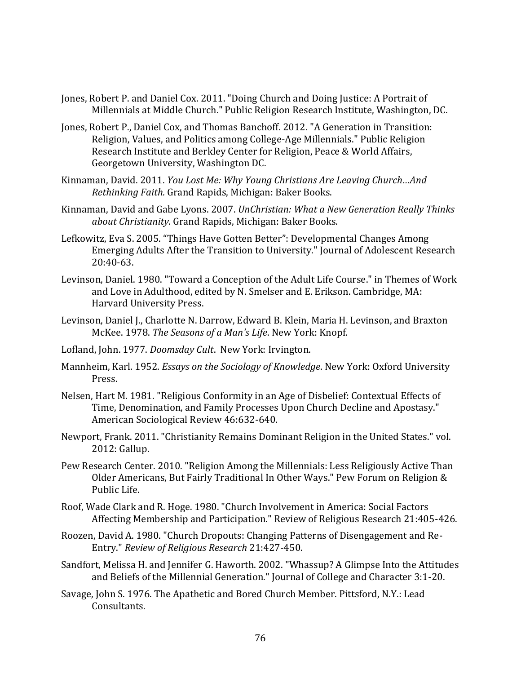- Jones, Robert P. and Daniel Cox. 2011. "Doing Church and Doing Justice: A Portrait of Millennials at Middle Church." Public Religion Research Institute, Washington, DC.
- Jones, Robert P., Daniel Cox, and Thomas Banchoff. 2012. "A Generation in Transition: Religion, Values, and Politics among College-Age Millennials." Public Religion Research Institute and Berkley Center for Religion, Peace & World Affairs, Georgetown University, Washington DC.
- Kinnaman, David. 2011. *You Lost Me: Why Young Christians Are Leaving Church…And Rethinking Faith.* Grand Rapids, Michigan: Baker Books.
- Kinnaman, David and Gabe Lyons. 2007. *UnChristian: What a New Generation Really Thinks about Christianity.* Grand Rapids, Michigan: Baker Books.
- Lefkowitz, Eva S. 2005. "Things Have Gotten Better": Developmental Changes Among Emerging Adults After the Transition to University." Journal of Adolescent Research 20:40-63.
- Levinson, Daniel. 1980. "Toward a Conception of the Adult Life Course." in Themes of Work and Love in Adulthood, edited by N. Smelser and E. Erikson. Cambridge, MA: Harvard University Press.
- Levinson, Daniel J., Charlotte N. Darrow, Edward B. Klein, Maria H. Levinson, and Braxton McKee. 1978. *The Seasons of a Man's Life*. New York: Knopf.
- Lofland, John. 1977. *Doomsday Cult*. New York: Irvington.
- Mannheim, Karl. 1952. *Essays on the Sociology of Knowledge*. New York: Oxford University Press.
- Nelsen, Hart M. 1981. "Religious Conformity in an Age of Disbelief: Contextual Effects of Time, Denomination, and Family Processes Upon Church Decline and Apostasy." American Sociological Review 46:632-640.
- Newport, Frank. 2011. "Christianity Remains Dominant Religion in the United States." vol. 2012: Gallup.
- Pew Research Center. 2010. "Religion Among the Millennials: Less Religiously Active Than Older Americans, But Fairly Traditional In Other Ways." Pew Forum on Religion & Public Life.
- Roof, Wade Clark and R. Hoge. 1980. "Church Involvement in America: Social Factors Affecting Membership and Participation." Review of Religious Research 21:405-426.
- Roozen, David A. 1980. "Church Dropouts: Changing Patterns of Disengagement and Re-Entry." *Review of Religious Research* 21:427-450.
- Sandfort, Melissa H. and Jennifer G. Haworth. 2002. "Whassup? A Glimpse Into the Attitudes and Beliefs of the Millennial Generation." Journal of College and Character 3:1-20.
- Savage, John S. 1976. The Apathetic and Bored Church Member. Pittsford, N.Y.: Lead Consultants.